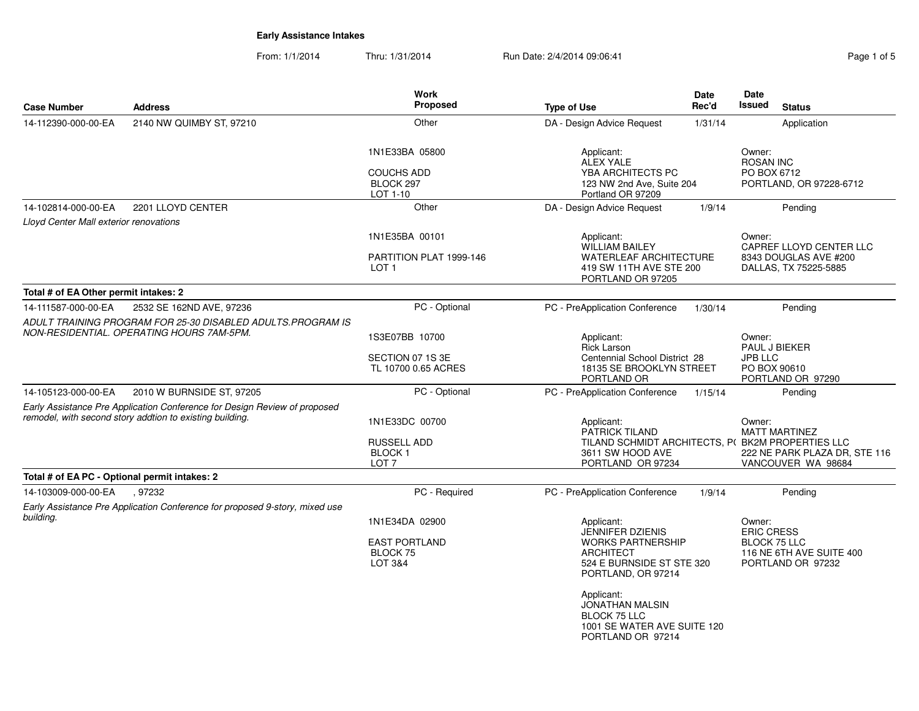From: 1/1/2014Thru: 1/31/2014 Run Date: 2/4/2014 09:06:41

| Page 1 of 5 |  |  |
|-------------|--|--|
|             |  |  |
|             |  |  |

| <b>Case Number</b>                            | <b>Address</b>                                                                                                                        | Work<br>Proposed                                                               | <b>Type of Use</b>                                                                                                                                                                                                                                   | Date<br>Rec'd | Date<br><b>Issued</b><br><b>Status</b>                                                                                                    |
|-----------------------------------------------|---------------------------------------------------------------------------------------------------------------------------------------|--------------------------------------------------------------------------------|------------------------------------------------------------------------------------------------------------------------------------------------------------------------------------------------------------------------------------------------------|---------------|-------------------------------------------------------------------------------------------------------------------------------------------|
| 14-112390-000-00-EA                           | 2140 NW QUIMBY ST, 97210                                                                                                              | Other                                                                          | DA - Design Advice Request                                                                                                                                                                                                                           | 1/31/14       | Application                                                                                                                               |
|                                               |                                                                                                                                       | 1N1E33BA 05800<br><b>COUCHS ADD</b><br>BLOCK 297<br>LOT 1-10                   | Applicant:<br><b>ALEX YALE</b><br>YBA ARCHITECTS PC<br>123 NW 2nd Ave, Suite 204<br>Portland OR 97209                                                                                                                                                |               | Owner:<br><b>ROSAN INC</b><br>PO BOX 6712<br>PORTLAND, OR 97228-6712                                                                      |
| 14-102814-000-00-EA                           | 2201 LLOYD CENTER                                                                                                                     | Other                                                                          | DA - Design Advice Request                                                                                                                                                                                                                           | 1/9/14        | Pending                                                                                                                                   |
| Lloyd Center Mall exterior renovations        |                                                                                                                                       |                                                                                |                                                                                                                                                                                                                                                      |               |                                                                                                                                           |
|                                               |                                                                                                                                       | 1N1E35BA 00101<br>PARTITION PLAT 1999-146<br>LOT 1                             | Applicant:<br><b>WILLIAM BAILEY</b><br><b>WATERLEAF ARCHITECTURE</b><br>419 SW 11TH AVE STE 200<br>PORTLAND OR 97205                                                                                                                                 |               | Owner:<br>CAPREF LLOYD CENTER LLC<br>8343 DOUGLAS AVE #200<br>DALLAS, TX 75225-5885                                                       |
| Total # of EA Other permit intakes: 2         |                                                                                                                                       |                                                                                |                                                                                                                                                                                                                                                      |               |                                                                                                                                           |
| 14-111587-000-00-EA                           | 2532 SE 162ND AVE, 97236<br>ADULT TRAINING PROGRAM FOR 25-30 DISABLED ADULTS.PROGRAM IS                                               | PC - Optional                                                                  | PC - PreApplication Conference                                                                                                                                                                                                                       | 1/30/14       | Pending                                                                                                                                   |
|                                               | NON-RESIDENTIAL, OPERATING HOURS 7AM-5PM.                                                                                             | 1S3E07BB 10700<br>SECTION 07 1S 3E<br>TL 10700 0.65 ACRES                      | Applicant:<br><b>Rick Larson</b><br>Centennial School District 28<br>18135 SE BROOKLYN STREET                                                                                                                                                        |               | Owner:<br>PAUL J BIEKER<br><b>JPB LLC</b><br>PO BOX 90610                                                                                 |
|                                               |                                                                                                                                       |                                                                                | PORTLAND OR                                                                                                                                                                                                                                          |               | PORTLAND OR 97290                                                                                                                         |
| 14-105123-000-00-EA                           | 2010 W BURNSIDE ST, 97205                                                                                                             | PC - Optional                                                                  | PC - PreApplication Conference                                                                                                                                                                                                                       | 1/15/14       | Pending                                                                                                                                   |
|                                               | Early Assistance Pre Application Conference for Design Review of proposed<br>remodel, with second story addtion to existing building. | 1N1E33DC 00700<br><b>RUSSELL ADD</b><br>BLOCK <sub>1</sub><br>LOT <sub>7</sub> | Applicant:<br>PATRICK TILAND<br>3611 SW HOOD AVE<br>PORTLAND OR 97234                                                                                                                                                                                |               | Owner:<br><b>MATT MARTINEZ</b><br>TILAND SCHMIDT ARCHITECTS, P(BK2M PROPERTIES LLC<br>222 NE PARK PLAZA DR, STE 116<br>VANCOUVER WA 98684 |
| Total # of EA PC - Optional permit intakes: 2 |                                                                                                                                       |                                                                                |                                                                                                                                                                                                                                                      |               |                                                                                                                                           |
| 14-103009-000-00-EA                           | .97232<br>Early Assistance Pre Application Conference for proposed 9-story, mixed use                                                 | PC - Required                                                                  | PC - PreApplication Conference                                                                                                                                                                                                                       | 1/9/14        | Pending                                                                                                                                   |
| building.                                     |                                                                                                                                       | 1N1E34DA 02900<br><b>EAST PORTLAND</b><br>BLOCK 75<br>LOT 3&4                  | Applicant:<br><b>JENNIFER DZIENIS</b><br><b>WORKS PARTNERSHIP</b><br><b>ARCHITECT</b><br>524 E BURNSIDE ST STE 320<br>PORTLAND, OR 97214<br>Applicant:<br>JONATHAN MALSIN<br><b>BLOCK 75 LLC</b><br>1001 SE WATER AVE SUITE 120<br>PORTLAND OR 97214 |               | Owner:<br><b>ERIC CRESS</b><br><b>BLOCK 75 LLC</b><br>116 NE 6TH AVE SUITE 400<br>PORTLAND OR 97232                                       |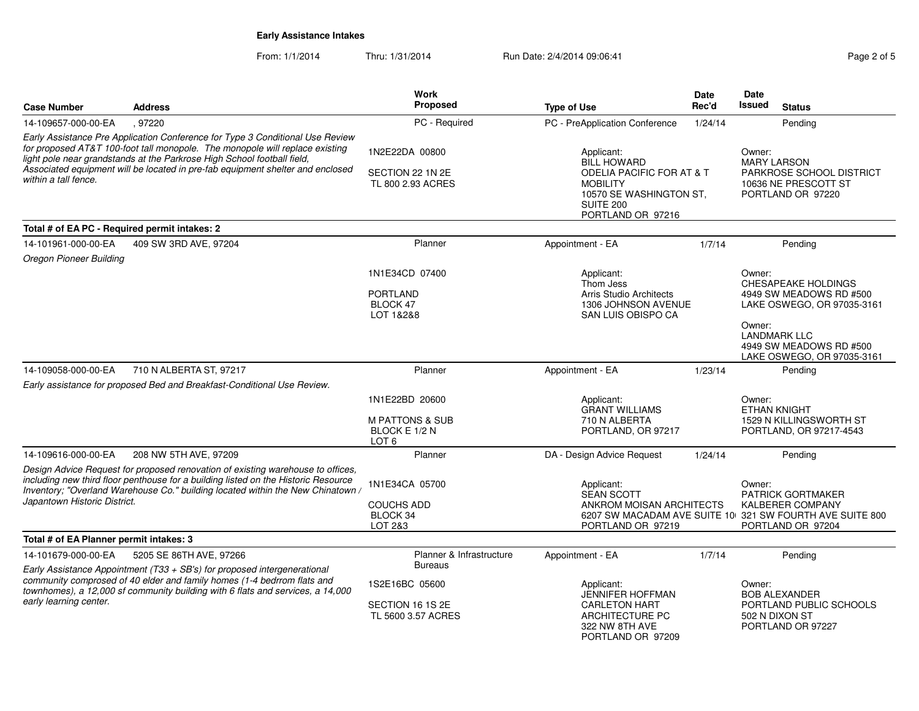From: 1/1/2014Thru: 1/31/2014 **Run Date: 2/4/2014 09:06:41 Run Page 2 of 5** 

|                                                                                                                                                                                                                                                                                                                                                    |                                                                         | Work                                                                                                                                                                                                                |                                                                                                                         | Date                                                                                                  | Date                                                                                                                                           |                                                                                     |
|----------------------------------------------------------------------------------------------------------------------------------------------------------------------------------------------------------------------------------------------------------------------------------------------------------------------------------------------------|-------------------------------------------------------------------------|---------------------------------------------------------------------------------------------------------------------------------------------------------------------------------------------------------------------|-------------------------------------------------------------------------------------------------------------------------|-------------------------------------------------------------------------------------------------------|------------------------------------------------------------------------------------------------------------------------------------------------|-------------------------------------------------------------------------------------|
| <b>Case Number</b>                                                                                                                                                                                                                                                                                                                                 | <b>Address</b>                                                          | Proposed                                                                                                                                                                                                            | <b>Type of Use</b>                                                                                                      | Rec'd                                                                                                 | <b>Issued</b>                                                                                                                                  | <b>Status</b>                                                                       |
| 14-109657-000-00-EA                                                                                                                                                                                                                                                                                                                                | ,97220                                                                  | PC - Required                                                                                                                                                                                                       | PC - PreApplication Conference                                                                                          | 1/24/14                                                                                               |                                                                                                                                                | Pending                                                                             |
| Early Assistance Pre Application Conference for Type 3 Conditional Use Review<br>for proposed AT&T 100-foot tall monopole. The monopole will replace existing<br>light pole near grandstands at the Parkrose High School football field,<br>Associated equipment will be located in pre-fab equipment shelter and enclosed<br>within a tall fence. |                                                                         | 1N2E22DA 00800<br>Applicant:<br><b>BILL HOWARD</b><br>SECTION 22 1N 2E<br><b>ODELIA PACIFIC FOR AT &amp; T</b><br>TL 800 2.93 ACRES<br><b>MOBILITY</b><br>10570 SE WASHINGTON ST,<br>SUITE 200<br>PORTLAND OR 97216 |                                                                                                                         | Owner:<br><b>MARY LARSON</b><br>PARKROSE SCHOOL DISTRICT<br>10636 NE PRESCOTT ST<br>PORTLAND OR 97220 |                                                                                                                                                |                                                                                     |
| Total # of EA PC - Required permit intakes: 2                                                                                                                                                                                                                                                                                                      |                                                                         |                                                                                                                                                                                                                     |                                                                                                                         |                                                                                                       |                                                                                                                                                |                                                                                     |
| 14-101961-000-00-EA                                                                                                                                                                                                                                                                                                                                | 409 SW 3RD AVE, 97204                                                   | Planner                                                                                                                                                                                                             | Appointment - EA                                                                                                        | 1/7/14                                                                                                |                                                                                                                                                | Pending                                                                             |
| <b>Oregon Pioneer Building</b>                                                                                                                                                                                                                                                                                                                     |                                                                         |                                                                                                                                                                                                                     |                                                                                                                         |                                                                                                       |                                                                                                                                                |                                                                                     |
|                                                                                                                                                                                                                                                                                                                                                    |                                                                         | 1N1E34CD 07400<br><b>PORTLAND</b><br>BLOCK 47<br>LOT 1&2&8                                                                                                                                                          | Applicant:<br>Thom Jess<br><b>Arris Studio Architects</b><br>1306 JOHNSON AVENUE<br>SAN LUIS OBISPO CA                  |                                                                                                       | Owner:                                                                                                                                         | <b>CHESAPEAKE HOLDINGS</b><br>4949 SW MEADOWS RD #500<br>LAKE OSWEGO, OR 97035-3161 |
|                                                                                                                                                                                                                                                                                                                                                    |                                                                         |                                                                                                                                                                                                                     |                                                                                                                         |                                                                                                       | Owner:<br><b>LANDMARK LLC</b>                                                                                                                  | 4949 SW MEADOWS RD #500<br>LAKE OSWEGO, OR 97035-3161                               |
| 14-109058-000-00-EA                                                                                                                                                                                                                                                                                                                                | 710 N ALBERTA ST, 97217                                                 | Planner                                                                                                                                                                                                             | Appointment - EA                                                                                                        | 1/23/14                                                                                               |                                                                                                                                                | Pending                                                                             |
|                                                                                                                                                                                                                                                                                                                                                    | Early assistance for proposed Bed and Breakfast-Conditional Use Review. |                                                                                                                                                                                                                     |                                                                                                                         |                                                                                                       |                                                                                                                                                |                                                                                     |
|                                                                                                                                                                                                                                                                                                                                                    |                                                                         | 1N1E22BD 20600<br><b>M PATTONS &amp; SUB</b><br>BLOCK E 1/2 N<br>LOT <sub>6</sub>                                                                                                                                   | Applicant:<br><b>GRANT WILLIAMS</b><br>710 N ALBERTA<br>PORTLAND, OR 97217                                              |                                                                                                       | Owner:<br><b>ETHAN KNIGHT</b>                                                                                                                  | 1529 N KILLINGSWORTH ST<br>PORTLAND, OR 97217-4543                                  |
| 14-109616-000-00-EA                                                                                                                                                                                                                                                                                                                                | 208 NW 5TH AVE, 97209                                                   | Planner                                                                                                                                                                                                             | DA - Design Advice Request                                                                                              | 1/24/14                                                                                               |                                                                                                                                                | Pending                                                                             |
| Design Advice Request for proposed renovation of existing warehouse to offices,<br>including new third floor penthouse for a building listed on the Historic Resource<br>Inventory; "Overland Warehouse Co." building located within the New Chinatown /<br>Japantown Historic District.                                                           |                                                                         | 1N1E34CA 05700<br><b>COUCHS ADD</b><br>BLOCK 34<br>LOT 2&3                                                                                                                                                          | Applicant:<br><b>SEAN SCOTT</b><br>ANKROM MOISAN ARCHITECTS<br>PORTLAND OR 97219                                        |                                                                                                       | Owner:<br><b>PATRICK GORTMAKER</b><br><b>KALBERER COMPANY</b><br>6207 SW MACADAM AVE SUITE 10 321 SW FOURTH AVE SUITE 800<br>PORTLAND OR 97204 |                                                                                     |
| Total # of EA Planner permit intakes: 3                                                                                                                                                                                                                                                                                                            |                                                                         |                                                                                                                                                                                                                     |                                                                                                                         |                                                                                                       |                                                                                                                                                |                                                                                     |
| 14-101679-000-00-EA                                                                                                                                                                                                                                                                                                                                | 5205 SE 86TH AVE, 97266                                                 | Planner & Infrastructure                                                                                                                                                                                            | Appointment - EA                                                                                                        | 1/7/14                                                                                                |                                                                                                                                                | Pending                                                                             |
| Early Assistance Appointment (T33 + SB's) for proposed intergenerational<br>community comprosed of 40 elder and family homes (1-4 bedrrom flats and<br>townhomes), a 12,000 sf community building with 6 flats and services, a 14,000<br>early learning center.                                                                                    |                                                                         | <b>Bureaus</b><br>1S2E16BC 05600<br>SECTION 16 1S 2E<br>TL 5600 3.57 ACRES                                                                                                                                          | Applicant:<br><b>JENNIFER HOFFMAN</b><br><b>CARLETON HART</b><br>ARCHITECTURE PC<br>322 NW 8TH AVE<br>PORTLAND OR 97209 |                                                                                                       | Owner:<br>502 N DIXON ST                                                                                                                       | <b>BOB ALEXANDER</b><br>PORTLAND PUBLIC SCHOOLS<br>PORTLAND OR 97227                |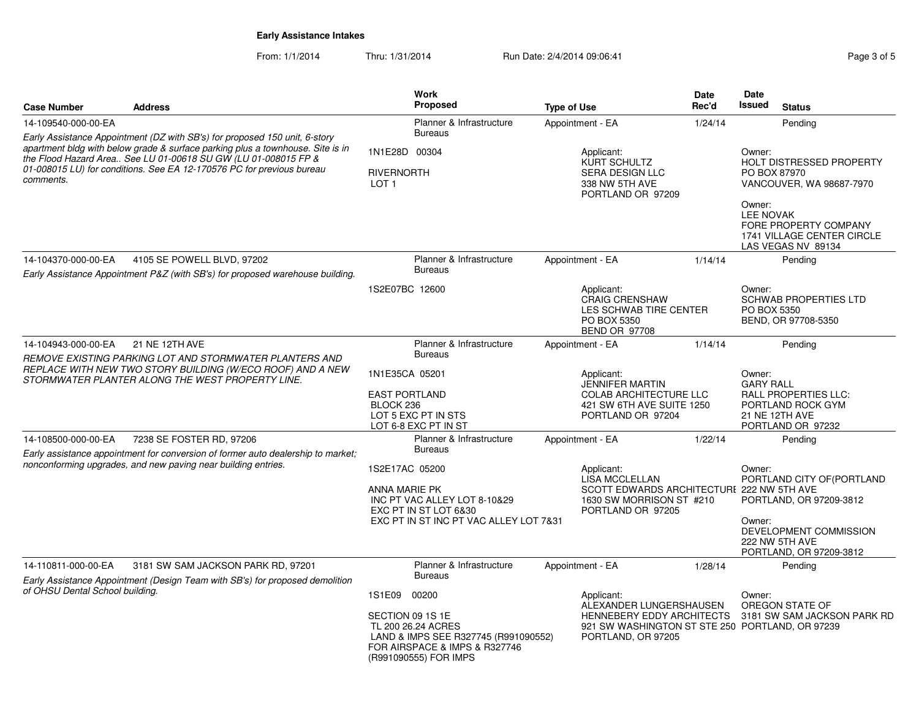From: 1/1/2014Thru: 1/31/2014 Run Date: 2/4/2014 09:06:41 Page 3 of 5

| <b>Case Number</b>                                                                                                                                                                                                                     | <b>Address</b>                                                                                              | <b>Work</b><br><b>Proposed</b>                                                                                                                              | <b>Type of Use</b>                                                                                                                | Date<br>Rec'd | Date<br>Issued<br><b>Status</b>                                                                                                                                                                  |  |
|----------------------------------------------------------------------------------------------------------------------------------------------------------------------------------------------------------------------------------------|-------------------------------------------------------------------------------------------------------------|-------------------------------------------------------------------------------------------------------------------------------------------------------------|-----------------------------------------------------------------------------------------------------------------------------------|---------------|--------------------------------------------------------------------------------------------------------------------------------------------------------------------------------------------------|--|
| 14-109540-000-00-EA                                                                                                                                                                                                                    | Early Assistance Appointment (DZ with SB's) for proposed 150 unit, 6-story                                  | Planner & Infrastructure<br><b>Bureaus</b>                                                                                                                  | Appointment - EA                                                                                                                  | 1/24/14       | Pending                                                                                                                                                                                          |  |
| apartment bldg with below grade & surface parking plus a townhouse. Site is in<br>the Flood Hazard Area See LU 01-00618 SU GW (LU 01-008015 FP &<br>01-008015 LU) for conditions. See EA 12-170576 PC for previous bureau<br>comments. |                                                                                                             | 1N1E28D 00304<br><b>RIVERNORTH</b><br>LOT <sub>1</sub>                                                                                                      | Applicant:<br>KURT SCHULTZ<br><b>SERA DESIGN LLC</b><br>338 NW 5TH AVE<br>PORTLAND OR 97209                                       |               | Owner:<br><b>HOLT DISTRESSED PROPERTY</b><br>PO BOX 87970<br>VANCOUVER, WA 98687-7970<br>Owner:<br><b>LEE NOVAK</b><br>FORE PROPERTY COMPANY<br>1741 VILLAGE CENTER CIRCLE<br>LAS VEGAS NV 89134 |  |
| 14-104370-000-00-EA                                                                                                                                                                                                                    | 4105 SE POWELL BLVD, 97202<br>Early Assistance Appointment P&Z (with SB's) for proposed warehouse building. | Planner & Infrastructure<br><b>Bureaus</b>                                                                                                                  | Appointment - EA                                                                                                                  | 1/14/14       | Pending                                                                                                                                                                                          |  |
|                                                                                                                                                                                                                                        |                                                                                                             | 1S2E07BC 12600                                                                                                                                              | Applicant:<br><b>CRAIG CRENSHAW</b><br>LES SCHWAB TIRE CENTER<br>PO BOX 5350<br><b>BEND OR 97708</b>                              |               | Owner:<br><b>SCHWAB PROPERTIES LTD</b><br>PO BOX 5350<br>BEND, OR 97708-5350                                                                                                                     |  |
| 14-104943-000-00-EA                                                                                                                                                                                                                    | 21 NE 12TH AVE                                                                                              | Planner & Infrastructure<br><b>Bureaus</b>                                                                                                                  | Appointment - EA                                                                                                                  | 1/14/14       | Pending                                                                                                                                                                                          |  |
| REMOVE EXISTING PARKING LOT AND STORMWATER PLANTERS AND<br>REPLACE WITH NEW TWO STORY BUILDING (W/ECO ROOF) AND A NEW<br>STORMWATER PLANTER ALONG THE WEST PROPERTY LINE.                                                              |                                                                                                             | 1N1E35CA 05201<br><b>EAST PORTLAND</b><br>BLOCK 236<br>LOT 5 EXC PT IN STS<br>LOT 6-8 EXC PT IN ST                                                          | Applicant:<br><b>JENNIFER MARTIN</b><br><b>COLAB ARCHITECTURE LLC</b><br>421 SW 6TH AVE SUITE 1250<br>PORTLAND OR 97204           |               | Owner:<br><b>GARY RALL</b><br><b>RALL PROPERTIES LLC:</b><br>PORTLAND ROCK GYM<br>21 NE 12TH AVE<br>PORTLAND OR 97232                                                                            |  |
| 14-108500-000-00-EA                                                                                                                                                                                                                    | 7238 SE FOSTER RD, 97206                                                                                    | Planner & Infrastructure<br><b>Bureaus</b>                                                                                                                  | Appointment - EA                                                                                                                  | 1/22/14       | Pending                                                                                                                                                                                          |  |
| Early assistance appointment for conversion of former auto dealership to market;<br>nonconforming upgrades, and new paving near building entries.                                                                                      |                                                                                                             | 1S2E17AC 05200<br>ANNA MARIE PK<br>INC PT VAC ALLEY LOT 8-10&29<br>EXC PT IN ST LOT 6&30<br>EXC PT IN ST INC PT VAC ALLEY LOT 7&31                          | Applicant:<br><b>LISA MCCLELLAN</b><br>SCOTT EDWARDS ARCHITECTURI 222 NW 5TH AVE<br>1630 SW MORRISON ST #210<br>PORTLAND OR 97205 |               | Owner:<br>PORTLAND CITY OF (PORTLAND<br>PORTLAND, OR 97209-3812<br>Owner:<br>DEVELOPMENT COMMISSION<br>222 NW 5TH AVE<br>PORTLAND, OR 97209-3812                                                 |  |
| 14-110811-000-00-EA                                                                                                                                                                                                                    | 3181 SW SAM JACKSON PARK RD, 97201                                                                          | Planner & Infrastructure<br><b>Bureaus</b>                                                                                                                  | Appointment - EA                                                                                                                  | 1/28/14       | Pending                                                                                                                                                                                          |  |
| of OHSU Dental School building.                                                                                                                                                                                                        | Early Assistance Appointment (Design Team with SB's) for proposed demolition                                | 1S1E09<br>00200<br>SECTION 09 1S 1E<br>TL 200 26.24 ACRES<br>LAND & IMPS SEE R327745 (R991090552)<br>FOR AIRSPACE & IMPS & R327746<br>(R991090555) FOR IMPS | Applicant:<br>ALEXANDER LUNGERSHAUSEN<br>HENNEBERY EDDY ARCHITECTS<br>PORTLAND, OR 97205                                          |               | Owner:<br>OREGON STATE OF<br>3181 SW SAM JACKSON PARK RD<br>921 SW WASHINGTON ST STE 250 PORTLAND, OR 97239                                                                                      |  |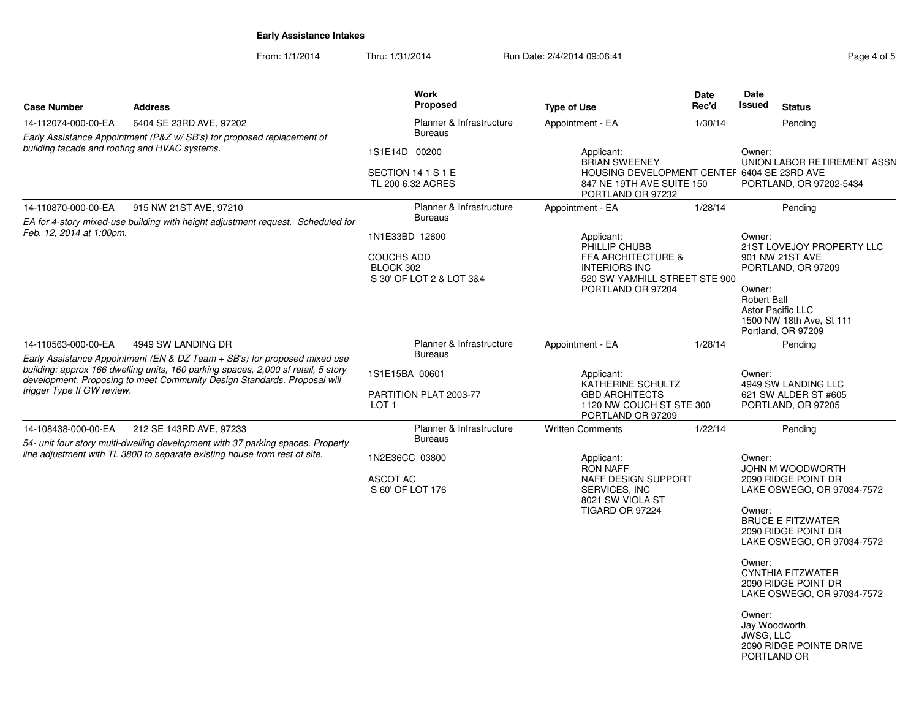From: 1/1/2014Thru: 1/31/2014 Run Date: 2/4/2014 09:06:41 Page 4 of 5

| <b>Case Number</b>                                                            | <b>Address</b>                                                                                                                                                                                                                                                                                                                                        | Work<br>Proposed                                                                                                                                               | <b>Type of Use</b>                                                                                                                                                                     | Date<br>Rec'd | Date<br><b>Issued</b>                                                     | <b>Status</b>                                                                                                                                                                                                                                                                     |
|-------------------------------------------------------------------------------|-------------------------------------------------------------------------------------------------------------------------------------------------------------------------------------------------------------------------------------------------------------------------------------------------------------------------------------------------------|----------------------------------------------------------------------------------------------------------------------------------------------------------------|----------------------------------------------------------------------------------------------------------------------------------------------------------------------------------------|---------------|---------------------------------------------------------------------------|-----------------------------------------------------------------------------------------------------------------------------------------------------------------------------------------------------------------------------------------------------------------------------------|
| 14-112074-000-00-EA                                                           | 6404 SE 23RD AVE, 97202                                                                                                                                                                                                                                                                                                                               | Planner & Infrastructure                                                                                                                                       | Appointment - EA                                                                                                                                                                       | 1/30/14       |                                                                           | Pending                                                                                                                                                                                                                                                                           |
|                                                                               | Early Assistance Appointment (P&Z w/SB's) for proposed replacement of                                                                                                                                                                                                                                                                                 | <b>Bureaus</b>                                                                                                                                                 |                                                                                                                                                                                        |               |                                                                           |                                                                                                                                                                                                                                                                                   |
| building facade and roofing and HVAC systems.                                 |                                                                                                                                                                                                                                                                                                                                                       | 1S1E14D 00200<br>SECTION 14 1 S 1 E<br>TL 200 6.32 ACRES                                                                                                       | Applicant:<br><b>BRIAN SWEENEY</b><br>HOUSING DEVELOPMENT CENTEF 6404 SE 23RD AVE<br>847 NE 19TH AVE SUITE 150<br>PORTLAND OR 97232                                                    |               | Owner:                                                                    | UNION LABOR RETIREMENT ASSN<br>PORTLAND, OR 97202-5434                                                                                                                                                                                                                            |
| 14-110870-000-00-EA                                                           | 915 NW 21ST AVE, 97210                                                                                                                                                                                                                                                                                                                                | Planner & Infrastructure                                                                                                                                       | Appointment - EA                                                                                                                                                                       | 1/28/14       |                                                                           | Pending                                                                                                                                                                                                                                                                           |
| Feb. 12, 2014 at 1:00pm.<br>14-110563-000-00-EA<br>trigger Type II GW review. | EA for 4-story mixed-use building with height adjustment request. Scheduled for<br>4949 SW LANDING DR<br>Early Assistance Appointment (EN & DZ Team $+$ SB's) for proposed mixed use<br>building: approx 166 dwelling units, 160 parking spaces, 2,000 sf retail, 5 story<br>development. Proposing to meet Community Design Standards. Proposal will | <b>Bureaus</b><br>1N1E33BD 12600<br><b>COUCHS ADD</b><br>BLOCK 302<br>S 30' OF LOT 2 & LOT 3&4<br>Planner & Infrastructure<br><b>Bureaus</b><br>1S1E15BA 00601 | Applicant:<br>PHILLIP CHUBB<br>FFA ARCHITECTURE &<br><b>INTERIORS INC</b><br>520 SW YAMHILL STREET STE 900<br>PORTLAND OR 97204<br>Appointment - EA<br>Applicant:<br>KATHERINE SCHULTZ | 1/28/14       | Owner:<br>Owner:<br><b>Robert Ball</b><br>Owner:                          | 21ST LOVEJOY PROPERTY LLC<br>901 NW 21ST AVE<br>PORTLAND, OR 97209<br><b>Astor Pacific LLC</b><br>1500 NW 18th Ave, St 111<br>Portland, OR 97209<br>Pending<br>4949 SW LANDING LLC                                                                                                |
|                                                                               |                                                                                                                                                                                                                                                                                                                                                       | PARTITION PLAT 2003-77<br>LOT <sub>1</sub>                                                                                                                     | <b>GBD ARCHITECTS</b><br>1120 NW COUCH ST STE 300<br>PORTLAND OR 97209                                                                                                                 |               |                                                                           | 621 SW ALDER ST #605<br>PORTLAND, OR 97205                                                                                                                                                                                                                                        |
| 14-108438-000-00-EA                                                           | 212 SE 143RD AVE, 97233<br>54- unit four story multi-dwelling development with 37 parking spaces. Property                                                                                                                                                                                                                                            | Planner & Infrastructure<br><b>Bureaus</b>                                                                                                                     | <b>Written Comments</b>                                                                                                                                                                | 1/22/14       |                                                                           | Pending                                                                                                                                                                                                                                                                           |
|                                                                               | line adjustment with TL 3800 to separate existing house from rest of site.                                                                                                                                                                                                                                                                            | 1N2E36CC 03800<br><b>ASCOT AC</b><br>S 60' OF LOT 176                                                                                                          | Applicant:<br><b>RON NAFF</b><br>NAFF DESIGN SUPPORT<br>SERVICES, INC<br>8021 SW VIOLA ST<br>TIGARD OR 97224                                                                           |               | Owner:<br>Owner:<br>Owner:<br>Owner:<br>Jay Woodworth<br><b>JWSG, LLC</b> | JOHN M WOODWORTH<br>2090 RIDGE POINT DR<br>LAKE OSWEGO, OR 97034-7572<br><b>BRUCE E FITZWATER</b><br>2090 RIDGE POINT DR<br>LAKE OSWEGO, OR 97034-7572<br><b>CYNTHIA FITZWATER</b><br>2090 RIDGE POINT DR<br>LAKE OSWEGO, OR 97034-7572<br>2090 RIDGE POINTE DRIVE<br>PORTLAND OR |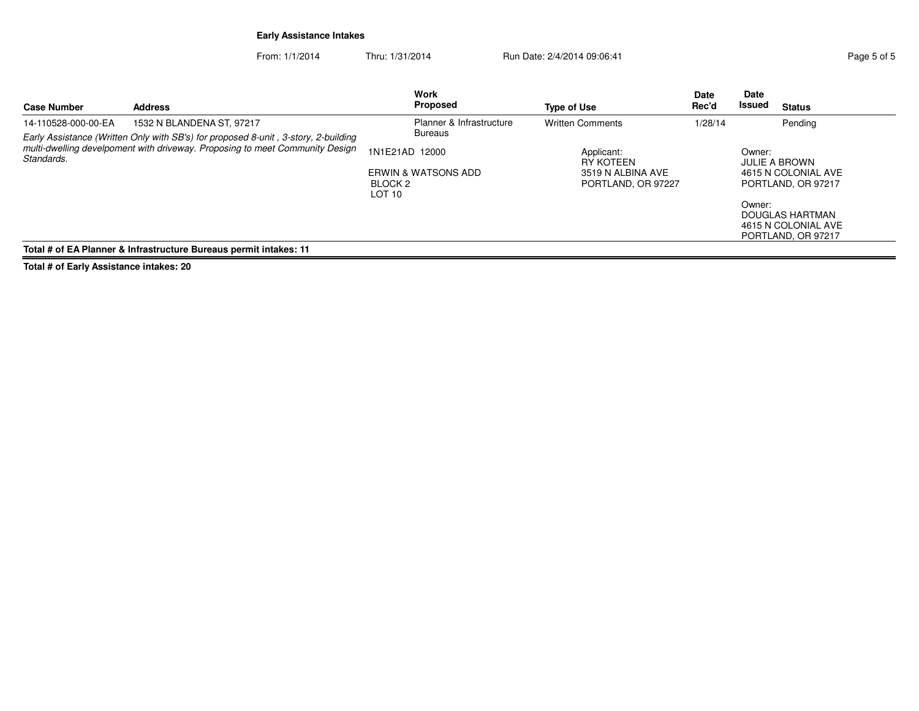From: 1/1/2014Thru: 1/31/2014 Run Date: 2/4/2014 09:06:41 Page 5 of 5

| <b>Case Number</b>                                                                                                                                                               | <b>Address</b>                                                    |                                                | Work<br>Proposed                                 | <b>Type of Use</b>                                                 | <b>Date</b><br>Rec'd | Date<br>Issued   | <b>Status</b>                                                                                                                     |
|----------------------------------------------------------------------------------------------------------------------------------------------------------------------------------|-------------------------------------------------------------------|------------------------------------------------|--------------------------------------------------|--------------------------------------------------------------------|----------------------|------------------|-----------------------------------------------------------------------------------------------------------------------------------|
| 14-110528-000-00-EA                                                                                                                                                              | 1532 N BLANDENA ST. 97217                                         |                                                | Planner & Infrastructure                         | <b>Written Comments</b>                                            | 1/28/14              |                  | Pending                                                                                                                           |
| Early Assistance (Written Only with SB's) for proposed 8-unit, 3-story, 2-building<br>multi-dwelling develpoment with driveway. Proposing to meet Community Design<br>Standards. |                                                                   | 1N1E21AD 12000<br>BLOCK 2<br>LOT <sub>10</sub> | <b>Bureaus</b><br><b>ERWIN &amp; WATSONS ADD</b> | Applicant:<br>RY KOTEEN<br>3519 N ALBINA AVE<br>PORTLAND, OR 97227 |                      | Owner:<br>Owner: | <b>JULIE A BROWN</b><br>4615 N COLONIAL AVE<br>PORTLAND, OR 97217<br>DOUGLAS HARTMAN<br>4615 N COLONIAL AVE<br>PORTLAND, OR 97217 |
|                                                                                                                                                                                  | Total # of EA Planner & Infrastructure Bureaus permit intakes: 11 |                                                |                                                  |                                                                    |                      |                  |                                                                                                                                   |

**Total # of Early Assistance intakes: 20**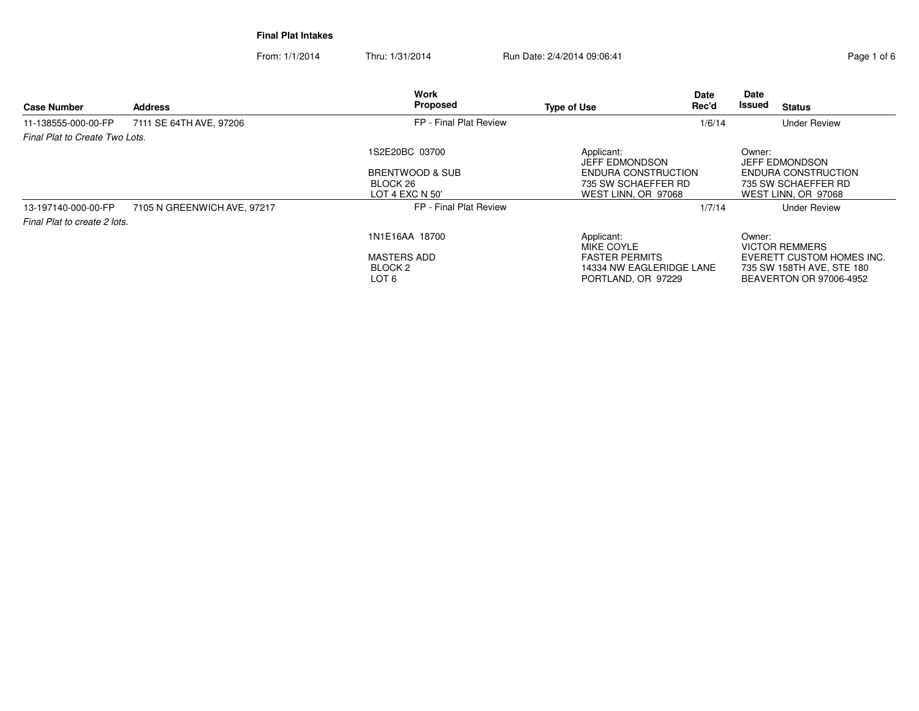From: 1/1/2014Thru: 1/31/2014 Run Date: 2/4/2014 09:06:41 Page 1 of 6

| <b>Case Number</b>             | <b>Address</b>              | Work<br>Proposed                                  | <b>Type of Use</b>                                                      | Date<br>Rec'd | Date<br>Issued | <b>Status</b>                                                                     |
|--------------------------------|-----------------------------|---------------------------------------------------|-------------------------------------------------------------------------|---------------|----------------|-----------------------------------------------------------------------------------|
| 11-138555-000-00-FP            | 7111 SE 64TH AVE, 97206     | FP - Final Plat Review                            |                                                                         | 1/6/14        |                | <b>Under Review</b>                                                               |
| Final Plat to Create Two Lots. |                             |                                                   |                                                                         |               |                |                                                                                   |
|                                |                             | 1S2E20BC 03700                                    | Applicant:<br><b>JEFF EDMONDSON</b>                                     |               | Owner:         | <b>JEFF EDMONDSON</b>                                                             |
|                                |                             | BRENTWOOD & SUB<br>BLOCK 26<br>LOT 4 EXC N 50'    | ENDURA CONSTRUCTION<br>735 SW SCHAEFFER RD<br>WEST LINN, OR 97068       |               |                | ENDURA CONSTRUCTION<br>735 SW SCHAEFFER RD<br>WEST LINN, OR 97068                 |
| 13-197140-000-00-FP            | 7105 N GREENWICH AVE, 97217 | FP - Final Plat Review                            |                                                                         | 1/7/14        |                | <b>Under Review</b>                                                               |
| Final Plat to create 2 lots.   |                             |                                                   |                                                                         |               |                |                                                                                   |
|                                |                             | 1N1E16AA 18700                                    | Applicant:<br>MIKE COYLE                                                |               | Owner:         | <b>VICTOR REMMERS</b>                                                             |
|                                |                             | <b>MASTERS ADD</b><br>BLOCK <sub>2</sub><br>LOT 6 | <b>FASTER PERMITS</b><br>14334 NW EAGLERIDGE LANE<br>PORTLAND, OR 97229 |               |                | EVERETT CUSTOM HOMES INC.<br>735 SW 158TH AVE, STE 180<br>BEAVERTON OR 97006-4952 |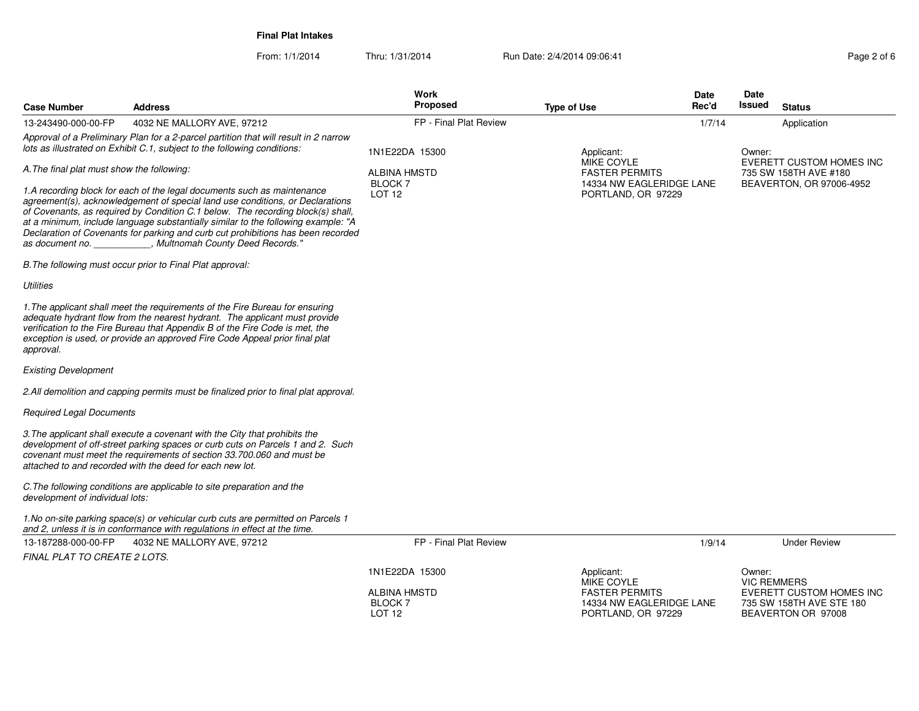From: 1/1/2014Thru: 1/31/2014 Run Date: 2/4/2014 09:06:41 Page 2 of 6

| <b>Case Number</b>                                                                                                                                                                                                                                                                                                                                                                                                                                                          | <b>Address</b>                                                                                                                                                                                                                                                                                                            | <b>Work</b><br><b>Proposed</b>                            | <b>Type of Use</b>                                                      | Date<br>Rec'd | Date<br><b>Issued</b>        | <b>Status</b>                                                              |
|-----------------------------------------------------------------------------------------------------------------------------------------------------------------------------------------------------------------------------------------------------------------------------------------------------------------------------------------------------------------------------------------------------------------------------------------------------------------------------|---------------------------------------------------------------------------------------------------------------------------------------------------------------------------------------------------------------------------------------------------------------------------------------------------------------------------|-----------------------------------------------------------|-------------------------------------------------------------------------|---------------|------------------------------|----------------------------------------------------------------------------|
| 13-243490-000-00-FP                                                                                                                                                                                                                                                                                                                                                                                                                                                         | 4032 NE MALLORY AVE, 97212                                                                                                                                                                                                                                                                                                | FP - Final Plat Review                                    |                                                                         | 1/7/14        |                              | Application                                                                |
|                                                                                                                                                                                                                                                                                                                                                                                                                                                                             | Approval of a Preliminary Plan for a 2-parcel partition that will result in 2 narrow<br>lots as illustrated on Exhibit C.1, subject to the following conditions:                                                                                                                                                          | 1N1E22DA 15300                                            | Applicant:                                                              |               | Owner:                       | <b>EVERETT CUSTOM HOMES INC</b>                                            |
| A. The final plat must show the following:                                                                                                                                                                                                                                                                                                                                                                                                                                  |                                                                                                                                                                                                                                                                                                                           | <b>ALBINA HMSTD</b>                                       | <b>MIKE COYLE</b><br><b>FASTER PERMITS</b>                              |               |                              | 735 SW 158TH AVE #180                                                      |
| 1.A recording block for each of the legal documents such as maintenance<br>agreement(s), acknowledgement of special land use conditions, or Declarations<br>of Covenants, as required by Condition C.1 below. The recording block(s) shall,<br>at a minimum, include language substantially similar to the following example: "A<br>Declaration of Covenants for parking and curb cut prohibitions has been recorded<br>"Multnomah County Deed Records."<br>as document no. |                                                                                                                                                                                                                                                                                                                           | <b>BLOCK7</b><br>LOT <sub>12</sub>                        | 14334 NW EAGLERIDGE LANE<br>PORTLAND, OR 97229                          |               |                              | BEAVERTON, OR 97006-4952                                                   |
|                                                                                                                                                                                                                                                                                                                                                                                                                                                                             | B. The following must occur prior to Final Plat approval:                                                                                                                                                                                                                                                                 |                                                           |                                                                         |               |                              |                                                                            |
| <b>Utilities</b>                                                                                                                                                                                                                                                                                                                                                                                                                                                            |                                                                                                                                                                                                                                                                                                                           |                                                           |                                                                         |               |                              |                                                                            |
| approval.                                                                                                                                                                                                                                                                                                                                                                                                                                                                   | 1. The applicant shall meet the requirements of the Fire Bureau for ensuring<br>adequate hydrant flow from the nearest hydrant. The applicant must provide<br>verification to the Fire Bureau that Appendix B of the Fire Code is met, the<br>exception is used, or provide an approved Fire Code Appeal prior final plat |                                                           |                                                                         |               |                              |                                                                            |
| <b>Existing Development</b>                                                                                                                                                                                                                                                                                                                                                                                                                                                 |                                                                                                                                                                                                                                                                                                                           |                                                           |                                                                         |               |                              |                                                                            |
|                                                                                                                                                                                                                                                                                                                                                                                                                                                                             | 2. All demolition and capping permits must be finalized prior to final plat approval.                                                                                                                                                                                                                                     |                                                           |                                                                         |               |                              |                                                                            |
| <b>Required Legal Documents</b>                                                                                                                                                                                                                                                                                                                                                                                                                                             |                                                                                                                                                                                                                                                                                                                           |                                                           |                                                                         |               |                              |                                                                            |
|                                                                                                                                                                                                                                                                                                                                                                                                                                                                             | 3. The applicant shall execute a covenant with the City that prohibits the<br>development of off-street parking spaces or curb cuts on Parcels 1 and 2. Such<br>covenant must meet the requirements of section 33.700.060 and must be<br>attached to and recorded with the deed for each new lot.                         |                                                           |                                                                         |               |                              |                                                                            |
| development of individual lots:                                                                                                                                                                                                                                                                                                                                                                                                                                             | C. The following conditions are applicable to site preparation and the                                                                                                                                                                                                                                                    |                                                           |                                                                         |               |                              |                                                                            |
|                                                                                                                                                                                                                                                                                                                                                                                                                                                                             | 1. No on-site parking space(s) or vehicular curb cuts are permitted on Parcels 1<br>and 2, unless it is in conformance with regulations in effect at the time.                                                                                                                                                            |                                                           |                                                                         |               |                              |                                                                            |
| 13-187288-000-00-FP                                                                                                                                                                                                                                                                                                                                                                                                                                                         | 4032 NE MALLORY AVE, 97212                                                                                                                                                                                                                                                                                                | FP - Final Plat Review                                    |                                                                         | 1/9/14        |                              | <b>Under Review</b>                                                        |
| <b>FINAL PLAT TO CREATE 2 LOTS.</b>                                                                                                                                                                                                                                                                                                                                                                                                                                         |                                                                                                                                                                                                                                                                                                                           |                                                           |                                                                         |               |                              |                                                                            |
|                                                                                                                                                                                                                                                                                                                                                                                                                                                                             |                                                                                                                                                                                                                                                                                                                           | 1N1E22DA 15300                                            | Applicant:<br><b>MIKE COYLE</b>                                         |               | Owner:<br><b>VIC REMMERS</b> |                                                                            |
|                                                                                                                                                                                                                                                                                                                                                                                                                                                                             |                                                                                                                                                                                                                                                                                                                           | <b>ALBINA HMSTD</b><br><b>BLOCK7</b><br>LOT <sub>12</sub> | <b>FASTER PERMITS</b><br>14334 NW EAGLERIDGE LANE<br>PORTLAND, OR 97229 |               |                              | EVERETT CUSTOM HOMES INC<br>735 SW 158TH AVE STE 180<br>BEAVERTON OR 97008 |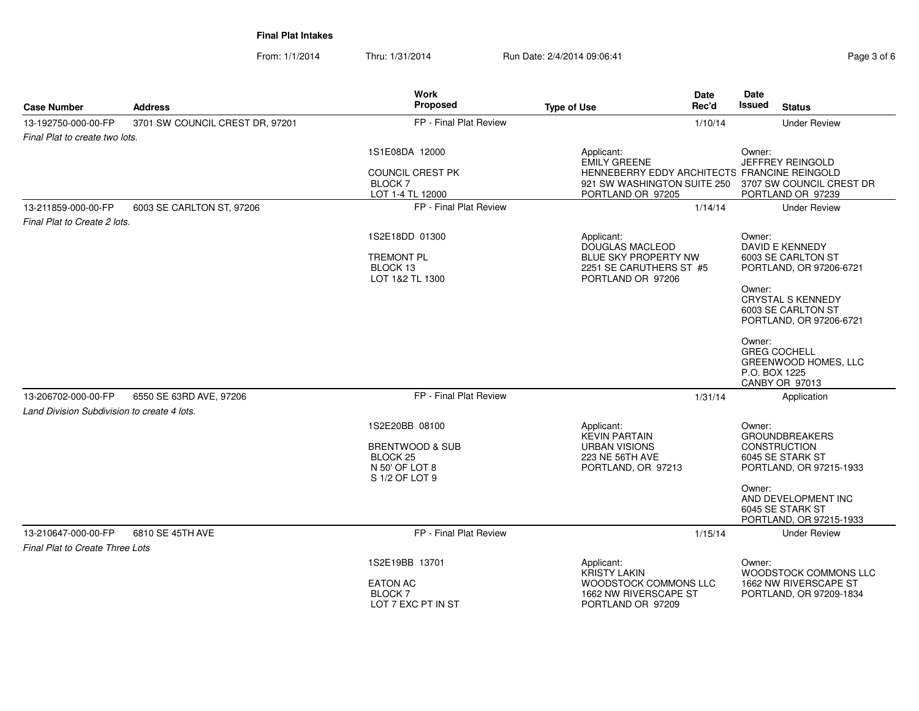From: 1/1/2014Thru: 1/31/2014 Run Date: 2/4/2014 09:06:41

| Page 3 of 6 |  |  |
|-------------|--|--|
|-------------|--|--|

| <b>Case Number</b>                                                 | <b>Address</b>                  | <b>Work</b><br><b>Proposed</b>                                                               | Date<br>Rec'd<br><b>Type of Use</b>                                                                                 | <b>Date</b><br>Issued<br><b>Status</b>                                                                                                                                   |
|--------------------------------------------------------------------|---------------------------------|----------------------------------------------------------------------------------------------|---------------------------------------------------------------------------------------------------------------------|--------------------------------------------------------------------------------------------------------------------------------------------------------------------------|
| 13-192750-000-00-FP                                                | 3701 SW COUNCIL CREST DR, 97201 | FP - Final Plat Review                                                                       | 1/10/14                                                                                                             | <b>Under Review</b>                                                                                                                                                      |
| Final Plat to create two lots.                                     |                                 |                                                                                              |                                                                                                                     |                                                                                                                                                                          |
|                                                                    |                                 | 1S1E08DA 12000<br><b>COUNCIL CREST PK</b><br>BLOCK 7                                         | Applicant:<br><b>EMILY GREENE</b><br>HENNEBERRY EDDY ARCHITECTS FRANCINE REINGOLD<br>921 SW WASHINGTON SUITE 250    | Owner:<br>JEFFREY REINGOLD<br>3707 SW COUNCIL CREST DR                                                                                                                   |
|                                                                    |                                 | LOT 1-4 TL 12000                                                                             | PORTLAND OR 97205                                                                                                   | PORTLAND OR 97239                                                                                                                                                        |
| 13-211859-000-00-FP<br>Final Plat to Create 2 lots.                | 6003 SE CARLTON ST, 97206       | FP - Final Plat Review                                                                       | 1/14/14                                                                                                             | <b>Under Review</b>                                                                                                                                                      |
|                                                                    |                                 | 1S2E18DD 01300<br><b>TREMONT PL</b><br>BLOCK 13<br>LOT 1&2 TL 1300                           | Applicant:<br><b>DOUGLAS MACLEOD</b><br><b>BLUE SKY PROPERTY NW</b><br>2251 SE CARUTHERS ST #5<br>PORTLAND OR 97206 | Owner:<br><b>DAVID E KENNEDY</b><br>6003 SE CARLTON ST<br>PORTLAND, OR 97206-6721<br>Owner:<br><b>CRYSTAL S KENNEDY</b><br>6003 SE CARLTON ST<br>PORTLAND, OR 97206-6721 |
|                                                                    |                                 |                                                                                              |                                                                                                                     | Owner:<br><b>GREG COCHELL</b><br>GREENWOOD HOMES, LLC<br>P.O. BOX 1225<br><b>CANBY OR 97013</b>                                                                          |
| 13-206702-000-00-FP<br>Land Division Subdivision to create 4 lots. | 6550 SE 63RD AVE, 97206         | FP - Final Plat Review                                                                       | 1/31/14                                                                                                             | Application                                                                                                                                                              |
|                                                                    |                                 | 1S2E20BB 08100<br>BRENTWOOD & SUB<br>BLOCK <sub>25</sub><br>N 50' OF LOT 8<br>S 1/2 OF LOT 9 | Applicant:<br><b>KEVIN PARTAIN</b><br><b>URBAN VISIONS</b><br><b>223 NE 56TH AVE</b><br>PORTLAND, OR 97213          | Owner:<br><b>GROUNDBREAKERS</b><br><b>CONSTRUCTION</b><br>6045 SE STARK ST<br>PORTLAND, OR 97215-1933<br>Owner:<br>AND DEVELOPMENT INC<br>6045 SE STARK ST               |
| 13-210647-000-00-FP                                                | 6810 SE 45TH AVE                | FP - Final Plat Review                                                                       | 1/15/14                                                                                                             | PORTLAND, OR 97215-1933<br><b>Under Review</b>                                                                                                                           |
| <b>Final Plat to Create Three Lots</b>                             |                                 |                                                                                              |                                                                                                                     |                                                                                                                                                                          |
|                                                                    |                                 | 1S2E19BB 13701<br><b>EATON AC</b><br>BLOCK 7<br>LOT 7 EXC PT IN ST                           | Applicant:<br><b>KRISTY LAKIN</b><br>WOODSTOCK COMMONS LLC<br>1662 NW RIVERSCAPE ST<br>PORTLAND OR 97209            | Owner:<br>WOODSTOCK COMMONS LLC<br>1662 NW RIVERSCAPE ST<br>PORTLAND, OR 97209-1834                                                                                      |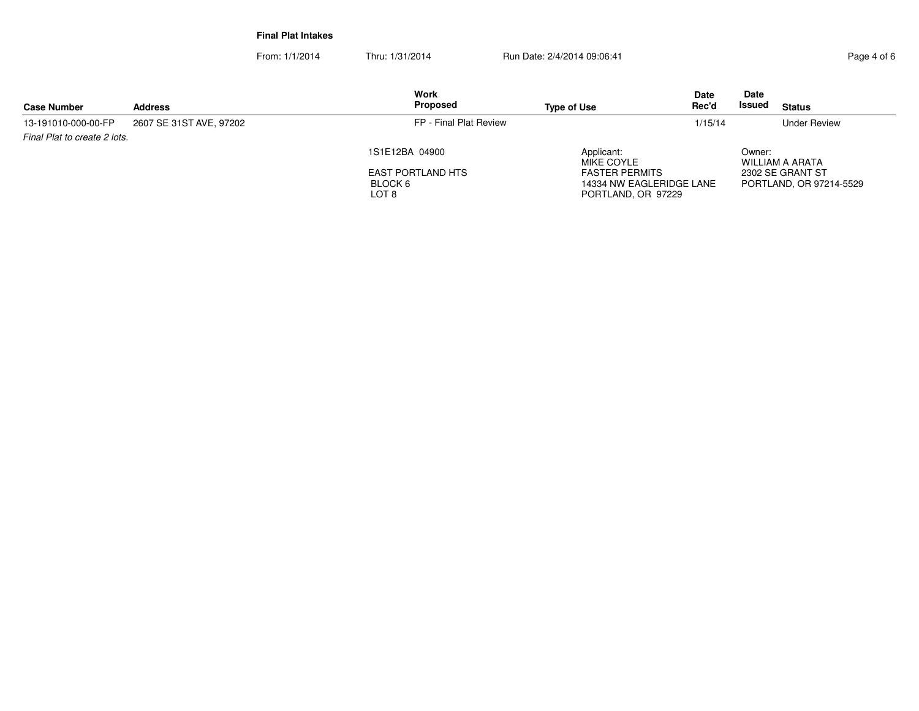From: 1/1/2014Thru: 1/31/2014 Run Date: 2/4/2014 09:06:41 Page 4 of 6

| <b>Case Number</b>           | <b>Address</b>          | Work<br>Proposed                             | <b>Type of Use</b>                                                      | <b>Date</b><br>Rec'd | Date<br>Issued | <b>Status</b>                               |
|------------------------------|-------------------------|----------------------------------------------|-------------------------------------------------------------------------|----------------------|----------------|---------------------------------------------|
| 13-191010-000-00-FP          | 2607 SE 31ST AVE, 97202 | FP - Final Plat Review                       |                                                                         | 1/15/14              |                | <b>Under Review</b>                         |
| Final Plat to create 2 lots. |                         | 1S1E12BA 04900                               | Applicant:<br>MIKE COYLE                                                |                      | Owner:         | WILLIAM A ARATA                             |
|                              |                         | <b>EAST PORTLAND HTS</b><br>BLOCK 6<br>LOT 8 | <b>FASTER PERMITS</b><br>14334 NW EAGLERIDGE LANE<br>PORTLAND, OR 97229 |                      |                | 2302 SE GRANT ST<br>PORTLAND, OR 97214-5529 |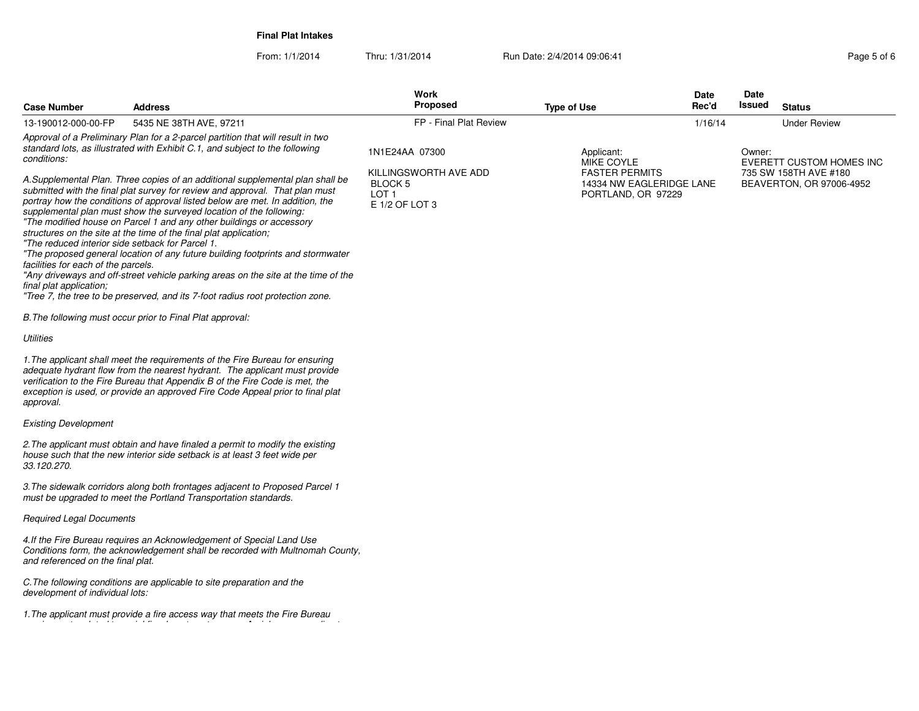From: 1/1/2014Thru: 1/31/2014 Run Date: 2/4/2014 09:06:41 Page 5 of 6

| <b>Case Number</b>                                                                                                 | <b>Address</b>                                                                                                                                                                                                                                                                                                                                                                                                                                                                                                                                                                                                                                                                                                                | Work<br><b>Proposed</b>                             | <b>Type of Use</b>                                       | <b>Date</b><br>Rec'd | <b>Date</b><br>Issued | <b>Status</b>                                     |
|--------------------------------------------------------------------------------------------------------------------|-------------------------------------------------------------------------------------------------------------------------------------------------------------------------------------------------------------------------------------------------------------------------------------------------------------------------------------------------------------------------------------------------------------------------------------------------------------------------------------------------------------------------------------------------------------------------------------------------------------------------------------------------------------------------------------------------------------------------------|-----------------------------------------------------|----------------------------------------------------------|----------------------|-----------------------|---------------------------------------------------|
| 13-190012-000-00-FP                                                                                                | 5435 NE 38TH AVE, 97211                                                                                                                                                                                                                                                                                                                                                                                                                                                                                                                                                                                                                                                                                                       | FP - Final Plat Review                              |                                                          | 1/16/14              |                       | <b>Under Review</b>                               |
| conditions:                                                                                                        | Approval of a Preliminary Plan for a 2-parcel partition that will result in two<br>standard lots, as illustrated with Exhibit C.1, and subject to the following                                                                                                                                                                                                                                                                                                                                                                                                                                                                                                                                                               | 1N1E24AA 07300<br>KILLINGSWORTH AVE ADD             | Applicant:<br><b>MIKE COYLE</b><br><b>FASTER PERMITS</b> |                      | Owner:                | EVERETT CUSTOM HOMES INC<br>735 SW 158TH AVE #180 |
| "The reduced interior side setback for Parcel 1.<br>facilities for each of the parcels.<br>final plat application; | A.Supplemental Plan. Three copies of an additional supplemental plan shall be<br>submitted with the final plat survey for review and approval. That plan must<br>portray how the conditions of approval listed below are met. In addition, the<br>supplemental plan must show the surveyed location of the following:<br>"The modified house on Parcel 1 and any other buildings or accessory<br>structures on the site at the time of the final plat application;<br>"The proposed general location of any future building footprints and stormwater<br>"Any driveways and off-street vehicle parking areas on the site at the time of the<br>"Tree 7, the tree to be preserved, and its 7-foot radius root protection zone. | <b>BLOCK5</b><br>LOT <sub>1</sub><br>E 1/2 OF LOT 3 | 14334 NW EAGLERIDGE LANE<br>PORTLAND, OR 97229           |                      |                       | BEAVERTON, OR 97006-4952                          |
|                                                                                                                    | B. The following must occur prior to Final Plat approval:                                                                                                                                                                                                                                                                                                                                                                                                                                                                                                                                                                                                                                                                     |                                                     |                                                          |                      |                       |                                                   |
| <b>Utilities</b>                                                                                                   |                                                                                                                                                                                                                                                                                                                                                                                                                                                                                                                                                                                                                                                                                                                               |                                                     |                                                          |                      |                       |                                                   |
| approval.                                                                                                          | 1. The applicant shall meet the requirements of the Fire Bureau for ensuring<br>adequate hydrant flow from the nearest hydrant. The applicant must provide<br>verification to the Fire Bureau that Appendix B of the Fire Code is met, the<br>exception is used, or provide an approved Fire Code Appeal prior to final plat                                                                                                                                                                                                                                                                                                                                                                                                  |                                                     |                                                          |                      |                       |                                                   |
| <b>Existing Development</b>                                                                                        |                                                                                                                                                                                                                                                                                                                                                                                                                                                                                                                                                                                                                                                                                                                               |                                                     |                                                          |                      |                       |                                                   |
| 33.120.270.                                                                                                        | 2. The applicant must obtain and have finaled a permit to modify the existing<br>house such that the new interior side setback is at least 3 feet wide per                                                                                                                                                                                                                                                                                                                                                                                                                                                                                                                                                                    |                                                     |                                                          |                      |                       |                                                   |
|                                                                                                                    | 3. The sidewalk corridors along both frontages adjacent to Proposed Parcel 1<br>must be upgraded to meet the Portland Transportation standards.                                                                                                                                                                                                                                                                                                                                                                                                                                                                                                                                                                               |                                                     |                                                          |                      |                       |                                                   |
| <b>Required Legal Documents</b>                                                                                    |                                                                                                                                                                                                                                                                                                                                                                                                                                                                                                                                                                                                                                                                                                                               |                                                     |                                                          |                      |                       |                                                   |
| and referenced on the final plat.                                                                                  | 4. If the Fire Bureau requires an Acknowledgement of Special Land Use<br>Conditions form, the acknowledgement shall be recorded with Multnomah County,                                                                                                                                                                                                                                                                                                                                                                                                                                                                                                                                                                        |                                                     |                                                          |                      |                       |                                                   |
| development of individual lots:                                                                                    | C. The following conditions are applicable to site preparation and the                                                                                                                                                                                                                                                                                                                                                                                                                                                                                                                                                                                                                                                        |                                                     |                                                          |                      |                       |                                                   |
|                                                                                                                    | 1. The applicant must provide a fire access way that meets the Fire Bureau                                                                                                                                                                                                                                                                                                                                                                                                                                                                                                                                                                                                                                                    |                                                     |                                                          |                      |                       |                                                   |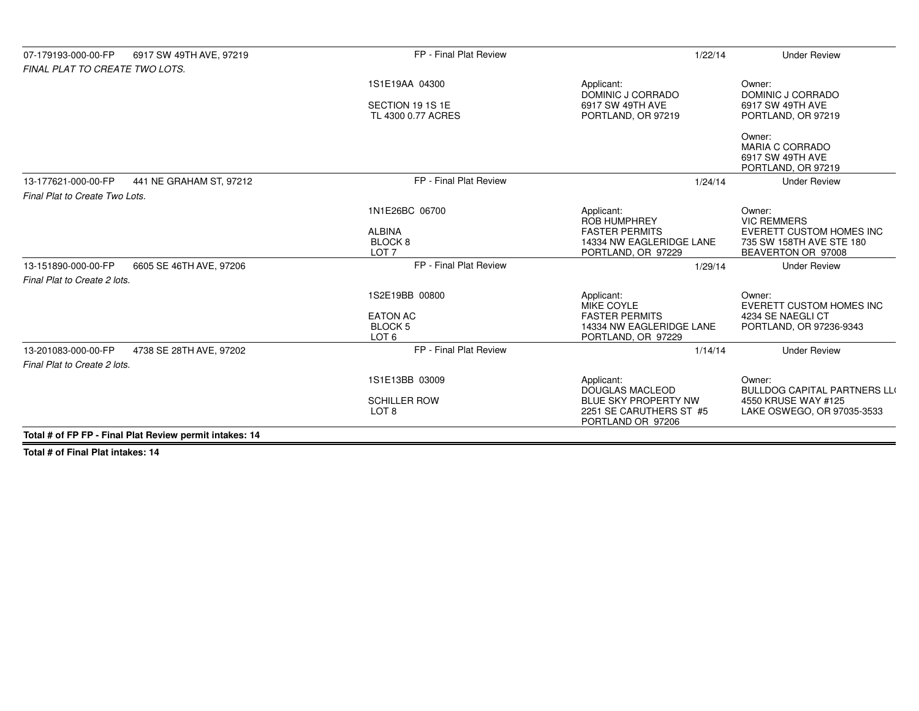| 6917 SW 49TH AVE, 97219<br>07-179193-000-00-FP<br>FINAL PLAT TO CREATE TWO LOTS. | FP - Final Plat Review                                                    | 1/22/14                                                                                                             | <b>Under Review</b>                                                                                               |
|----------------------------------------------------------------------------------|---------------------------------------------------------------------------|---------------------------------------------------------------------------------------------------------------------|-------------------------------------------------------------------------------------------------------------------|
|                                                                                  | 1S1E19AA 04300                                                            | Applicant:<br>DOMINIC J CORRADO                                                                                     | Owner:<br>DOMINIC J CORRADO                                                                                       |
|                                                                                  | SECTION 19 1S 1E<br>TL 4300 0.77 ACRES                                    | 6917 SW 49TH AVE<br>PORTLAND, OR 97219                                                                              | 6917 SW 49TH AVE<br>PORTLAND, OR 97219                                                                            |
|                                                                                  |                                                                           |                                                                                                                     | Owner:<br><b>MARIA C CORRADO</b><br>6917 SW 49TH AVE<br>PORTLAND, OR 97219                                        |
| 13-177621-000-00-FP<br>441 NE GRAHAM ST, 97212                                   | FP - Final Plat Review                                                    | 1/24/14                                                                                                             | <b>Under Review</b>                                                                                               |
| Final Plat to Create Two Lots.                                                   |                                                                           |                                                                                                                     |                                                                                                                   |
|                                                                                  | 1N1E26BC 06700<br><b>ALBINA</b><br>BLOCK <sub>8</sub><br>LOT <sub>7</sub> | Applicant:<br><b>ROB HUMPHREY</b><br><b>FASTER PERMITS</b><br>14334 NW EAGLERIDGE LANE<br>PORTLAND, OR 97229        | Owner:<br><b>VIC REMMERS</b><br><b>EVERETT CUSTOM HOMES INC</b><br>735 SW 158TH AVE STE 180<br>BEAVERTON OR 97008 |
| 13-151890-000-00-FP<br>6605 SE 46TH AVE, 97206                                   | FP - Final Plat Review                                                    | 1/29/14                                                                                                             | <b>Under Review</b>                                                                                               |
| Final Plat to Create 2 lots.                                                     |                                                                           |                                                                                                                     |                                                                                                                   |
|                                                                                  | 1S2E19BB 00800<br><b>EATON AC</b><br><b>BLOCK5</b><br>LOT <sub>6</sub>    | Applicant:<br><b>MIKE COYLE</b><br><b>FASTER PERMITS</b><br>14334 NW EAGLERIDGE LANE<br>PORTLAND, OR 97229          | Owner:<br>EVERETT CUSTOM HOMES INC<br>4234 SE NAEGLI CT<br>PORTLAND, OR 97236-9343                                |
| 13-201083-000-00-FP<br>4738 SE 28TH AVE, 97202                                   | FP - Final Plat Review                                                    | 1/14/14                                                                                                             | <b>Under Review</b>                                                                                               |
| Final Plat to Create 2 lots.                                                     |                                                                           |                                                                                                                     |                                                                                                                   |
|                                                                                  | 1S1E13BB 03009<br><b>SCHILLER ROW</b><br>LOT <sub>8</sub>                 | Applicant:<br><b>DOUGLAS MACLEOD</b><br><b>BLUE SKY PROPERTY NW</b><br>2251 SE CARUTHERS ST #5<br>PORTLAND OR 97206 | Owner:<br><b>BULLDOG CAPITAL PARTNERS LLO</b><br>4550 KRUSE WAY #125<br>LAKE OSWEGO, OR 97035-3533                |
| Total # of FP FP - Final Plat Review permit intakes: 14                          |                                                                           |                                                                                                                     |                                                                                                                   |

**Total # of Final Plat intakes: 14**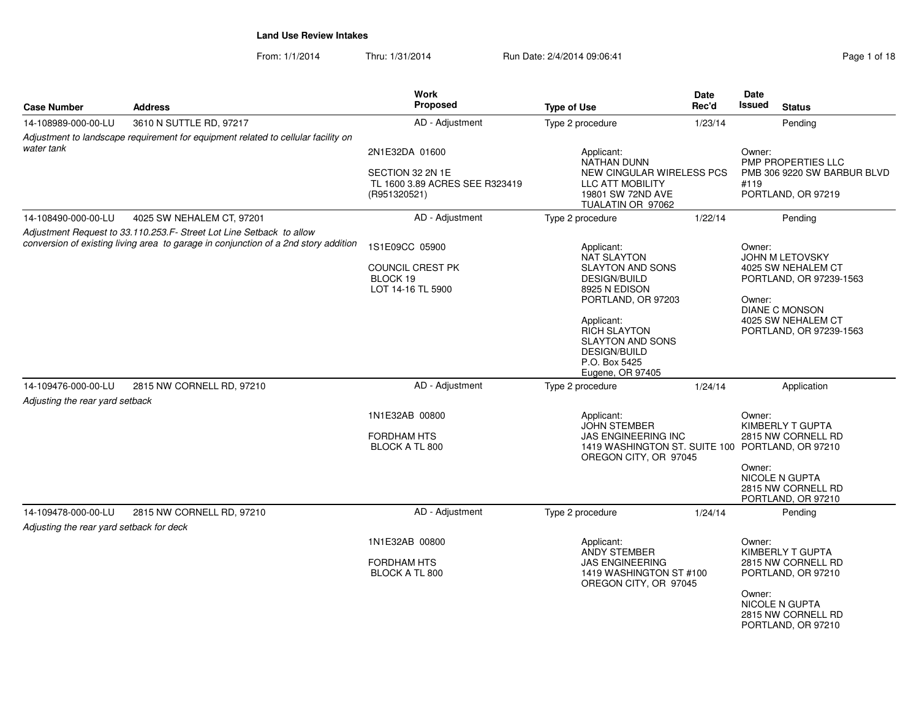From: 1/1/2014Thru: 1/31/2014 Run Date: 2/4/2014 09:06:41 Page 1 of 18

| <b>Case Number</b>                                              | <b>Work</b><br>Proposed<br><b>Address</b><br><b>Type of Use</b>                                                                                             |                                                                                      | Date<br>Rec'd                                                                                                                                                                                                                                  | Date<br><b>Issued</b><br><b>Status</b> |                                                                                                                                                                       |
|-----------------------------------------------------------------|-------------------------------------------------------------------------------------------------------------------------------------------------------------|--------------------------------------------------------------------------------------|------------------------------------------------------------------------------------------------------------------------------------------------------------------------------------------------------------------------------------------------|----------------------------------------|-----------------------------------------------------------------------------------------------------------------------------------------------------------------------|
| 14-108989-000-00-LU                                             | 3610 N SUTTLE RD, 97217                                                                                                                                     | AD - Adjustment                                                                      | Type 2 procedure                                                                                                                                                                                                                               | 1/23/14                                | Pending                                                                                                                                                               |
| water tank                                                      | Adjustment to landscape requirement for equipment related to cellular facility on                                                                           | 2N1E32DA 01600<br>SECTION 32 2N 1E<br>TL 1600 3.89 ACRES SEE R323419<br>(R951320521) | Applicant:<br>NATHAN DUNN<br><b>NEW CINGULAR WIRELESS PCS</b><br>LLC ATT MOBILITY<br>19801 SW 72ND AVE<br>TUALATIN OR 97062                                                                                                                    |                                        | Owner:<br><b>PMP PROPERTIES LLC</b><br>PMB 306 9220 SW BARBUR BLVD<br>#119<br>PORTLAND, OR 97219                                                                      |
| 14-108490-000-00-LU                                             | 4025 SW NEHALEM CT, 97201                                                                                                                                   | AD - Adjustment                                                                      | Type 2 procedure                                                                                                                                                                                                                               | 1/22/14                                | Pending                                                                                                                                                               |
|                                                                 | Adjustment Request to 33.110.253.F- Street Lot Line Setback to allow<br>conversion of existing living area to garage in conjunction of a 2nd story addition | 1S1E09CC 05900<br><b>COUNCIL CREST PK</b><br>BLOCK 19<br>LOT 14-16 TL 5900           | Applicant:<br><b>NAT SLAYTON</b><br><b>SLAYTON AND SONS</b><br><b>DESIGN/BUILD</b><br>8925 N EDISON<br>PORTLAND, OR 97203<br>Applicant:<br>RICH SLAYTON<br><b>SLAYTON AND SONS</b><br><b>DESIGN/BUILD</b><br>P.O. Box 5425<br>Eugene, OR 97405 |                                        | Owner:<br><b>JOHN M LETOVSKY</b><br>4025 SW NEHALEM CT<br>PORTLAND, OR 97239-1563<br>Owner:<br><b>DIANE C MONSON</b><br>4025 SW NEHALEM CT<br>PORTLAND, OR 97239-1563 |
| 14-109476-000-00-LU                                             | 2815 NW CORNELL RD, 97210                                                                                                                                   | AD - Adjustment                                                                      | Type 2 procedure                                                                                                                                                                                                                               | 1/24/14                                | Application                                                                                                                                                           |
| Adjusting the rear yard setback                                 |                                                                                                                                                             | 1N1E32AB 00800<br><b>FORDHAM HTS</b><br>BLOCK A TL 800                               | Applicant:<br><b>JOHN STEMBER</b><br><b>JAS ENGINEERING INC</b><br>1419 WASHINGTON ST. SUITE 100 PORTLAND, OR 97210<br>OREGON CITY, OR 97045                                                                                                   |                                        | Owner:<br>KIMBERLY T GUPTA<br>2815 NW CORNELL RD<br>Owner:<br><b>NICOLE N GUPTA</b><br>2815 NW CORNELL RD<br>PORTLAND, OR 97210                                       |
| 14-109478-000-00-LU<br>Adjusting the rear yard setback for deck | 2815 NW CORNELL RD, 97210                                                                                                                                   | AD - Adjustment                                                                      | Type 2 procedure                                                                                                                                                                                                                               | 1/24/14                                | Pending                                                                                                                                                               |
|                                                                 |                                                                                                                                                             | 1N1E32AB 00800<br><b>FORDHAM HTS</b><br>BLOCK A TL 800                               | Applicant:<br><b>ANDY STEMBER</b><br><b>JAS ENGINEERING</b><br>1419 WASHINGTON ST #100<br>OREGON CITY, OR 97045                                                                                                                                |                                        | Owner:<br>KIMBERLY T GUPTA<br>2815 NW CORNELL RD<br>PORTLAND, OR 97210<br>Owner:<br>NICOLE N GUPTA<br>2815 NW CORNELL RD<br>PORTLAND, OR 97210                        |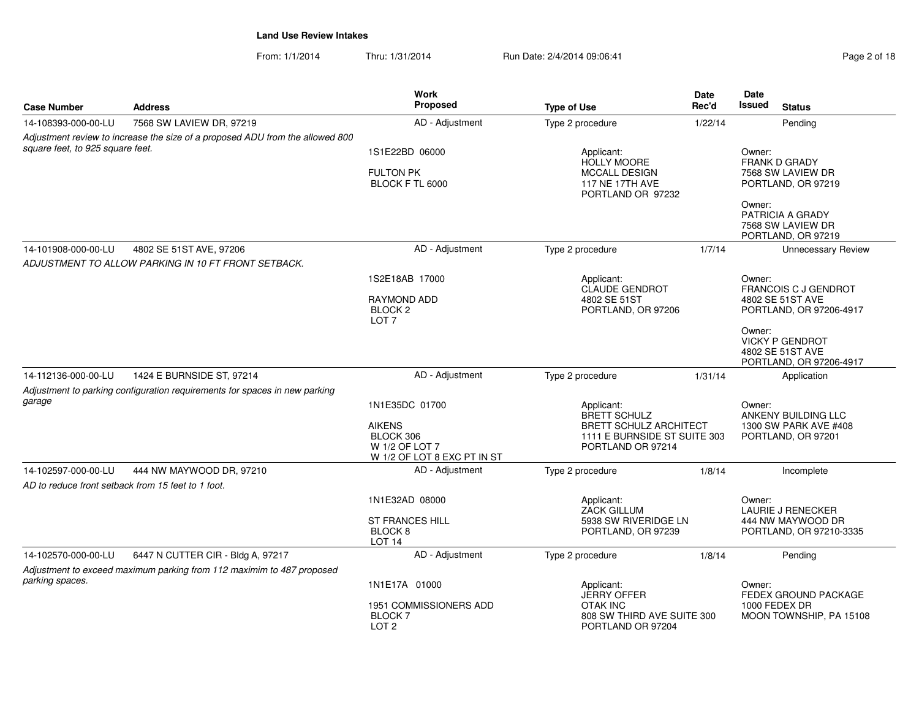From: 1/1/2014Thru: 1/31/2014 **Run Date: 2/4/2014 09:06:41** Pag

| Page 2 of 18 |  |  |  |
|--------------|--|--|--|
|--------------|--|--|--|

| <b>Case Number</b>               | <b>Address</b>                                                                | Work<br><b>Proposed</b>                                                     | <b>Type of Use</b>                                                                 | Date<br>Rec'd | Date<br><b>Issued</b><br><b>Status</b>                                          |
|----------------------------------|-------------------------------------------------------------------------------|-----------------------------------------------------------------------------|------------------------------------------------------------------------------------|---------------|---------------------------------------------------------------------------------|
| 14-108393-000-00-LU              | 7568 SW LAVIEW DR, 97219                                                      | AD - Adjustment                                                             | Type 2 procedure                                                                   | 1/22/14       | Pending                                                                         |
|                                  | Adjustment review to increase the size of a proposed ADU from the allowed 800 |                                                                             |                                                                                    |               |                                                                                 |
| square feet, to 925 square feet. |                                                                               | 1S1E22BD 06000                                                              | Applicant:<br><b>HOLLY MOORE</b>                                                   |               | Owner:<br>FRANK D GRADY                                                         |
|                                  |                                                                               | <b>FULTON PK</b><br>BLOCK F TL 6000                                         | <b>MCCALL DESIGN</b><br><b>117 NE 17TH AVE</b><br>PORTLAND OR 97232                |               | 7568 SW LAVIEW DR<br>PORTLAND, OR 97219                                         |
|                                  |                                                                               |                                                                             |                                                                                    |               | Owner:<br>PATRICIA A GRADY<br>7568 SW LAVIEW DR<br>PORTLAND, OR 97219           |
| 14-101908-000-00-LU              | 4802 SE 51ST AVE, 97206                                                       | AD - Adjustment                                                             | Type 2 procedure                                                                   | 1/7/14        | <b>Unnecessary Review</b>                                                       |
|                                  | ADJUSTMENT TO ALLOW PARKING IN 10 FT FRONT SETBACK.                           |                                                                             |                                                                                    |               |                                                                                 |
|                                  |                                                                               | 1S2E18AB 17000                                                              | Applicant:<br><b>CLAUDE GENDROT</b>                                                |               | Owner:<br><b>FRANCOIS C J GENDROT</b>                                           |
|                                  |                                                                               | <b>RAYMOND ADD</b><br>BLOCK <sub>2</sub><br>LOT <sub>7</sub>                | 4802 SE 51ST<br>PORTLAND, OR 97206                                                 |               | 4802 SE 51ST AVE<br>PORTLAND, OR 97206-4917                                     |
|                                  |                                                                               |                                                                             |                                                                                    |               | Owner:<br><b>VICKY P GENDROT</b><br>4802 SE 51ST AVE<br>PORTLAND, OR 97206-4917 |
| 14-112136-000-00-LU              | 1424 E BURNSIDE ST, 97214                                                     | AD - Adjustment                                                             | Type 2 procedure                                                                   | 1/31/14       | Application                                                                     |
|                                  | Adjustment to parking configuration requirements for spaces in new parking    |                                                                             |                                                                                    |               |                                                                                 |
| garage                           |                                                                               | 1N1E35DC 01700                                                              | Applicant:<br><b>BRETT SCHULZ</b>                                                  |               | Owner:<br>ANKENY BUILDING LLC                                                   |
|                                  |                                                                               | <b>AIKENS</b><br>BLOCK 306<br>W 1/2 OF LOT 7<br>W 1/2 OF LOT 8 EXC PT IN ST | <b>BRETT SCHULZ ARCHITECT</b><br>1111 E BURNSIDE ST SUITE 303<br>PORTLAND OR 97214 |               | 1300 SW PARK AVE #408<br>PORTLAND, OR 97201                                     |
| 14-102597-000-00-LU              | 444 NW MAYWOOD DR, 97210                                                      | AD - Adjustment                                                             | Type 2 procedure                                                                   | 1/8/14        | Incomplete                                                                      |
|                                  | AD to reduce front setback from 15 feet to 1 foot.                            |                                                                             |                                                                                    |               |                                                                                 |
|                                  |                                                                               | 1N1E32AD 08000                                                              | Applicant:<br><b>ZACK GILLUM</b>                                                   |               | Owner:<br><b>LAURIE J RENECKER</b>                                              |
|                                  |                                                                               | <b>ST FRANCES HILL</b><br>BLOCK <sub>8</sub><br>LOT <sub>14</sub>           | 5938 SW RIVERIDGE LN<br>PORTLAND, OR 97239                                         |               | 444 NW MAYWOOD DR<br>PORTLAND, OR 97210-3335                                    |
| 14-102570-000-00-LU              | 6447 N CUTTER CIR - Bldg A, 97217                                             | AD - Adjustment                                                             | Type 2 procedure                                                                   | 1/8/14        | Pending                                                                         |
|                                  | Adjustment to exceed maximum parking from 112 maximim to 487 proposed         |                                                                             |                                                                                    |               |                                                                                 |
| parking spaces.                  |                                                                               | 1N1E17A 01000                                                               | Applicant:<br><b>JERRY OFFER</b>                                                   |               | Owner:<br>FEDEX GROUND PACKAGE                                                  |
|                                  |                                                                               | 1951 COMMISSIONERS ADD<br>BLOCK 7<br>LOT <sub>2</sub>                       | <b>OTAK INC</b><br>808 SW THIRD AVE SUITE 300<br>PORTLAND OR 97204                 |               | 1000 FEDEX DR<br>MOON TOWNSHIP, PA 15108                                        |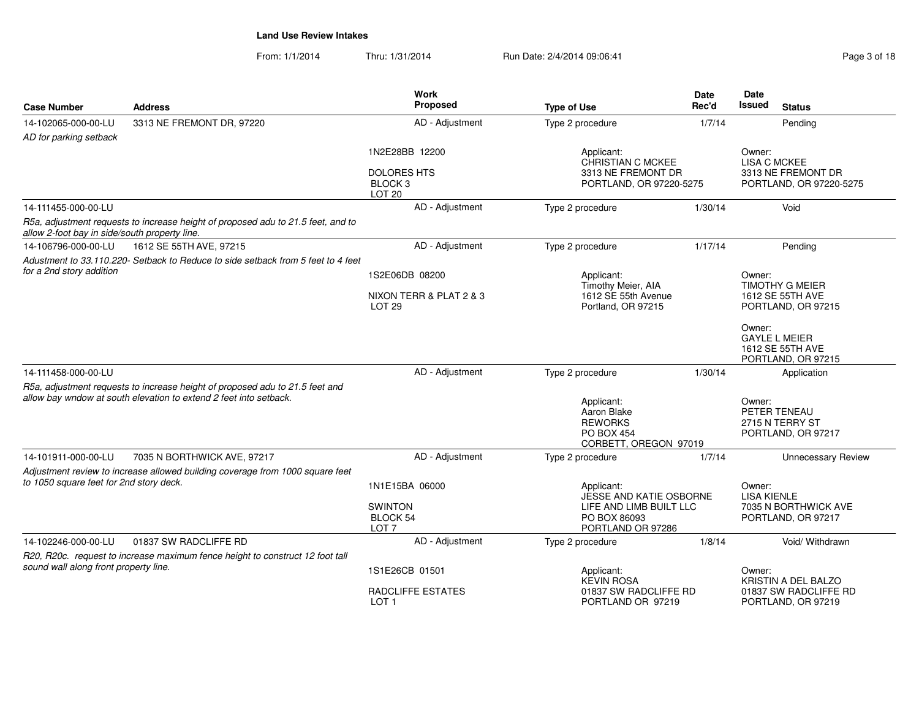From: 1/1/2014Thru: 1/31/2014 Run Date: 2/4/2014 09:06:41

| <b>Case Number</b>                            | <b>Address</b>                                                                                                                                    | Work<br>Proposed                                                                |                                                                                           | Date<br>Rec'd | <b>Date</b><br><b>Issued</b><br><b>Status</b>                                                                      |
|-----------------------------------------------|---------------------------------------------------------------------------------------------------------------------------------------------------|---------------------------------------------------------------------------------|-------------------------------------------------------------------------------------------|---------------|--------------------------------------------------------------------------------------------------------------------|
|                                               |                                                                                                                                                   |                                                                                 | <b>Type of Use</b>                                                                        |               |                                                                                                                    |
| 14-102065-000-00-LU                           | 3313 NE FREMONT DR, 97220                                                                                                                         | AD - Adjustment                                                                 | Type 2 procedure                                                                          | 1/7/14        | Pending                                                                                                            |
| AD for parking setback                        |                                                                                                                                                   | 1N2E28BB 12200<br><b>DOLORES HTS</b><br>BLOCK <sub>3</sub><br>LOT <sub>20</sub> | Applicant:<br>CHRISTIAN C MCKEE<br>3313 NE FREMONT DR<br>PORTLAND, OR 97220-5275          |               | Owner:<br><b>LISA C MCKEE</b><br>3313 NE FREMONT DR<br>PORTLAND, OR 97220-5275                                     |
| 14-111455-000-00-LU                           |                                                                                                                                                   | AD - Adjustment                                                                 | Type 2 procedure                                                                          | 1/30/14       | Void                                                                                                               |
| allow 2-foot bay in side/south property line. | R5a, adjustment requests to increase height of proposed adu to 21.5 feet, and to                                                                  |                                                                                 |                                                                                           |               |                                                                                                                    |
| 14-106796-000-00-LU                           | 1612 SE 55TH AVE, 97215                                                                                                                           | AD - Adjustment                                                                 | Type 2 procedure                                                                          | 1/17/14       | Pending                                                                                                            |
| for a 2nd story addition                      | Adustment to 33.110.220- Setback to Reduce to side setback from 5 feet to 4 feet                                                                  | 1S2E06DB 08200                                                                  | Applicant:<br>Timothy Meier, AIA                                                          |               | Owner:<br><b>TIMOTHY G MEIER</b>                                                                                   |
|                                               |                                                                                                                                                   | NIXON TERR & PLAT 2 & 3<br>LOT <sub>29</sub>                                    | 1612 SE 55th Avenue<br>Portland, OR 97215                                                 |               | 1612 SE 55TH AVE<br>PORTLAND, OR 97215<br>Owner:<br><b>GAYLE L MEIER</b><br>1612 SE 55TH AVE<br>PORTLAND, OR 97215 |
| 14-111458-000-00-LU                           |                                                                                                                                                   | AD - Adjustment                                                                 | Type 2 procedure                                                                          | 1/30/14       | Application                                                                                                        |
|                                               | R5a, adjustment requests to increase height of proposed adu to 21.5 feet and<br>allow bay wndow at south elevation to extend 2 feet into setback. |                                                                                 | Applicant:<br>Aaron Blake<br><b>REWORKS</b><br><b>PO BOX 454</b><br>CORBETT, OREGON 97019 |               | Owner:<br>PETER TENEAU<br>2715 N TERRY ST<br>PORTLAND, OR 97217                                                    |
| 14-101911-000-00-LU                           | 7035 N BORTHWICK AVE, 97217                                                                                                                       | AD - Adjustment                                                                 | Type 2 procedure                                                                          | 1/7/14        | <b>Unnecessary Review</b>                                                                                          |
| to 1050 square feet for 2nd story deck.       | Adjustment review to increase allowed building coverage from 1000 square feet                                                                     | 1N1E15BA 06000<br><b>SWINTON</b><br><b>BLOCK 54</b>                             | Applicant:<br>JESSE AND KATIE OSBORNE<br>LIFE AND LIMB BUILT LLC<br>PO BOX 86093          |               | Owner:<br><b>LISA KIENLE</b><br>7035 N BORTHWICK AVE                                                               |
|                                               |                                                                                                                                                   | LOT <sub>7</sub>                                                                | PORTLAND OR 97286                                                                         |               | PORTLAND, OR 97217                                                                                                 |
| 14-102246-000-00-LU                           | 01837 SW RADCLIFFE RD                                                                                                                             | AD - Adjustment                                                                 | Type 2 procedure                                                                          | 1/8/14        | Void/ Withdrawn                                                                                                    |
| sound wall along front property line.         | R20, R20c. request to increase maximum fence height to construct 12 foot tall                                                                     | 1S1E26CB 01501                                                                  | Applicant:                                                                                |               | Owner:                                                                                                             |
|                                               |                                                                                                                                                   | RADCLIFFE ESTATES<br>LOT <sub>1</sub>                                           | <b>KEVIN ROSA</b><br>01837 SW RADCLIFFE RD<br>PORTLAND OR 97219                           |               | KRISTIN A DEL BALZO<br>01837 SW RADCLIFFE RD<br>PORTLAND, OR 97219                                                 |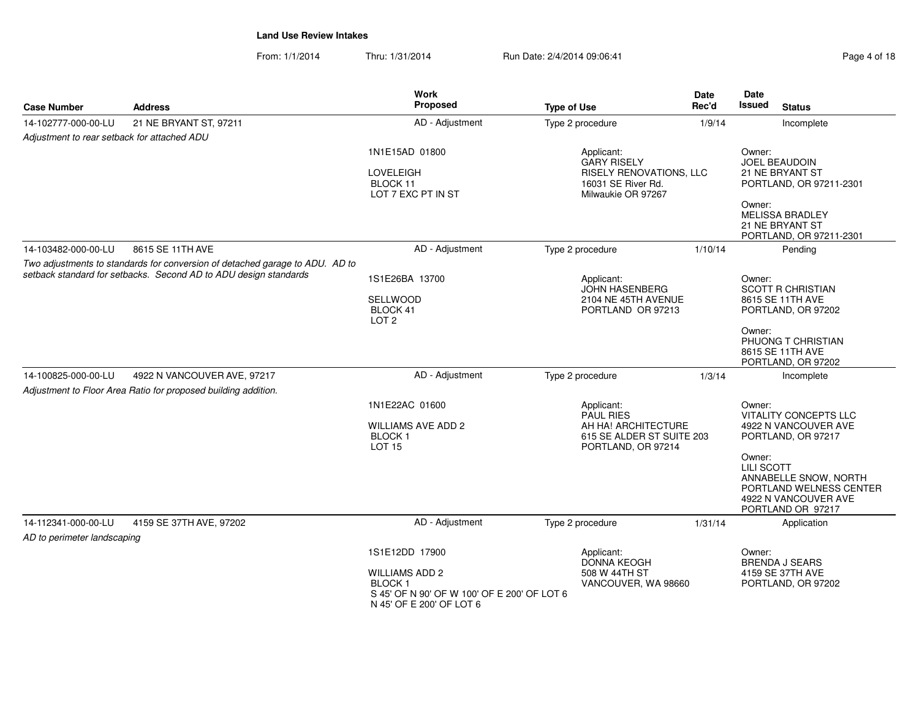From: 1/1/2014Thru: 1/31/2014 Run Date: 2/4/2014 09:06:41 Page 4 of 18

| <b>Case Number</b>                                                                                                                               | <b>Address</b>                                                                                | <b>Work</b><br>Proposed                                                                                           | <b>Type of Use</b>                                                                                             | Date<br>Rec'd | Date<br>Issued<br><b>Status</b>                                                                                                                                                                                      |
|--------------------------------------------------------------------------------------------------------------------------------------------------|-----------------------------------------------------------------------------------------------|-------------------------------------------------------------------------------------------------------------------|----------------------------------------------------------------------------------------------------------------|---------------|----------------------------------------------------------------------------------------------------------------------------------------------------------------------------------------------------------------------|
| 14-102777-000-00-LU                                                                                                                              | 21 NE BRYANT ST, 97211                                                                        | AD - Adjustment                                                                                                   | Type 2 procedure                                                                                               | 1/9/14        | Incomplete                                                                                                                                                                                                           |
| Adjustment to rear setback for attached ADU                                                                                                      |                                                                                               |                                                                                                                   |                                                                                                                |               |                                                                                                                                                                                                                      |
|                                                                                                                                                  |                                                                                               | 1N1E15AD 01800<br><b>LOVELEIGH</b><br>BLOCK 11<br>LOT 7 EXC PT IN ST                                              | Applicant:<br><b>GARY RISELY</b><br><b>RISELY RENOVATIONS, LLC</b><br>16031 SE River Rd.<br>Milwaukie OR 97267 |               | Owner:<br><b>JOEL BEAUDOIN</b><br>21 NE BRYANT ST<br>PORTLAND, OR 97211-2301<br>Owner:                                                                                                                               |
|                                                                                                                                                  |                                                                                               |                                                                                                                   |                                                                                                                |               | <b>MELISSA BRADLEY</b><br>21 NE BRYANT ST<br>PORTLAND, OR 97211-2301                                                                                                                                                 |
| 14-103482-000-00-LU                                                                                                                              | 8615 SE 11TH AVE                                                                              | AD - Adjustment                                                                                                   | Type 2 procedure                                                                                               | 1/10/14       | Pendina                                                                                                                                                                                                              |
| Two adjustments to standards for conversion of detached garage to ADU. AD to<br>setback standard for setbacks. Second AD to ADU design standards |                                                                                               | 1S1E26BA 13700<br>SELLWOOD                                                                                        | Applicant:<br><b>JOHN HASENBERG</b><br>2104 NE 45TH AVENUE                                                     |               | Owner:<br><b>SCOTT R CHRISTIAN</b><br>8615 SE 11TH AVE                                                                                                                                                               |
|                                                                                                                                                  |                                                                                               | BLOCK 41<br>LOT <sub>2</sub>                                                                                      | PORTLAND OR 97213                                                                                              |               | PORTLAND, OR 97202                                                                                                                                                                                                   |
|                                                                                                                                                  |                                                                                               |                                                                                                                   |                                                                                                                |               | Owner:<br>PHUONG T CHRISTIAN<br>8615 SE 11TH AVE<br>PORTLAND, OR 97202                                                                                                                                               |
| 14-100825-000-00-LU                                                                                                                              | 4922 N VANCOUVER AVE, 97217<br>Adjustment to Floor Area Ratio for proposed building addition. | AD - Adjustment                                                                                                   | Type 2 procedure                                                                                               | 1/3/14        | Incomplete                                                                                                                                                                                                           |
|                                                                                                                                                  |                                                                                               | 1N1E22AC 01600<br><b>WILLIAMS AVE ADD 2</b><br>BLOCK <sub>1</sub><br><b>LOT 15</b>                                | Applicant:<br><b>PAUL RIES</b><br>AH HA! ARCHITECTURE<br>615 SE ALDER ST SUITE 203<br>PORTLAND, OR 97214       |               | Owner:<br><b>VITALITY CONCEPTS LLC</b><br>4922 N VANCOUVER AVE<br>PORTLAND, OR 97217<br>Owner:<br><b>LILI SCOTT</b><br>ANNABELLE SNOW, NORTH<br>PORTLAND WELNESS CENTER<br>4922 N VANCOUVER AVE<br>PORTLAND OR 97217 |
| 14-112341-000-00-LU<br>AD to perimeter landscaping                                                                                               | 4159 SE 37TH AVE, 97202                                                                       | AD - Adjustment                                                                                                   | Type 2 procedure                                                                                               | 1/31/14       | Application                                                                                                                                                                                                          |
|                                                                                                                                                  |                                                                                               | 1S1E12DD 17900                                                                                                    | Applicant:<br><b>DONNA KEOGH</b>                                                                               |               | Owner:<br><b>BRENDA J SEARS</b>                                                                                                                                                                                      |
|                                                                                                                                                  |                                                                                               | <b>WILLIAMS ADD 2</b><br><b>BLOCK1</b><br>S 45' OF N 90' OF W 100' OF E 200' OF LOT 6<br>N 45' OF E 200' OF LOT 6 | 508 W 44TH ST<br>VANCOUVER, WA 98660                                                                           |               | 4159 SE 37TH AVE<br>PORTLAND, OR 97202                                                                                                                                                                               |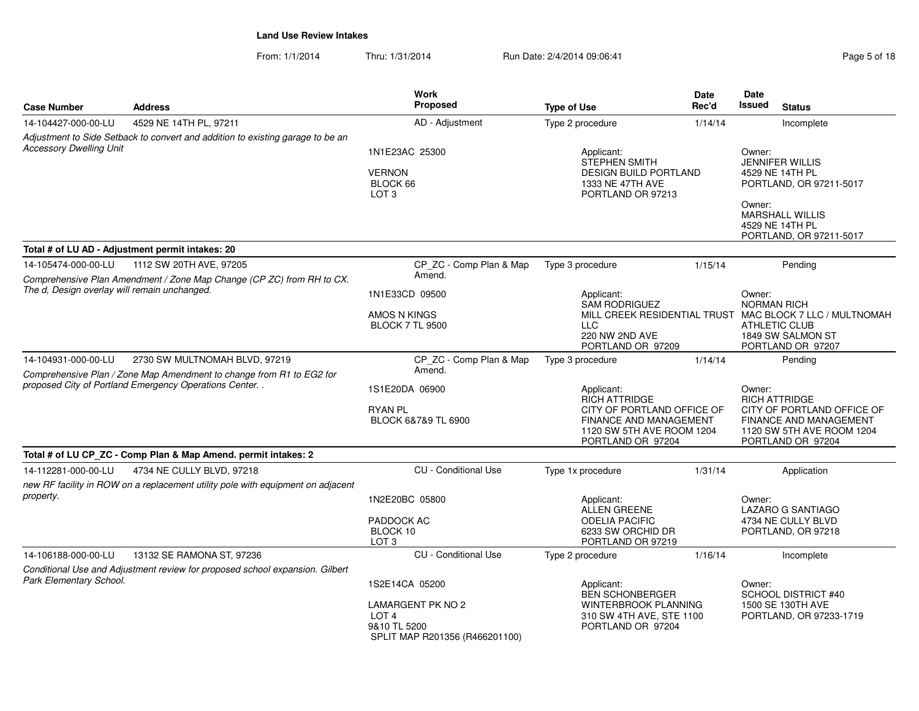From: 1/1/2014Thru: 1/31/2014 Run Date: 2/4/2014 09:06:41 Page 5 of 18

| <b>Case Number</b>                                                                                                                                                      | <b>Address</b>                                                                                               | <b>Work</b><br><b>Proposed</b>                                                                                   | <b>Type of Use</b>                                                                                                                           | <b>Date</b><br>Rec'd                                                                                                                                       |                                                                                                                                | Date<br>Issued<br><b>Status</b> |  |
|-------------------------------------------------------------------------------------------------------------------------------------------------------------------------|--------------------------------------------------------------------------------------------------------------|------------------------------------------------------------------------------------------------------------------|----------------------------------------------------------------------------------------------------------------------------------------------|------------------------------------------------------------------------------------------------------------------------------------------------------------|--------------------------------------------------------------------------------------------------------------------------------|---------------------------------|--|
| 14-104427-000-00-LU                                                                                                                                                     | 4529 NE 14TH PL, 97211                                                                                       | AD - Adjustment                                                                                                  | Type 2 procedure                                                                                                                             | 1/14/14                                                                                                                                                    |                                                                                                                                | Incomplete                      |  |
| Adjustment to Side Setback to convert and addition to existing garage to be an<br><b>Accessory Dwelling Unit</b>                                                        |                                                                                                              | 1N1E23AC 25300<br><b>VERNON</b><br>BLOCK 66<br>LOT <sub>3</sub>                                                  | Applicant:<br><b>STEPHEN SMITH</b><br><b>DESIGN BUILD PORTLAND</b><br>1333 NE 47TH AVE<br>PORTLAND OR 97213                                  | Owner:<br><b>JENNIFER WILLIS</b><br>4529 NE 14TH PL<br>PORTLAND, OR 97211-5017<br>Owner:<br>MARSHALL WILLIS<br>4529 NE 14TH PL                             |                                                                                                                                |                                 |  |
|                                                                                                                                                                         | Total # of LU AD - Adjustment permit intakes: 20                                                             |                                                                                                                  |                                                                                                                                              |                                                                                                                                                            |                                                                                                                                | PORTLAND, OR 97211-5017         |  |
| 14-105474-000-00-LU<br>1112 SW 20TH AVE, 97205<br>Comprehensive Plan Amendment / Zone Map Change (CP ZC) from RH to CX.<br>The d, Design overlay will remain unchanged. |                                                                                                              | CP_ZC - Comp Plan & Map<br>Amend.                                                                                | Type 3 procedure                                                                                                                             | 1/15/14                                                                                                                                                    |                                                                                                                                | Pending                         |  |
|                                                                                                                                                                         |                                                                                                              | 1N1E33CD 09500<br>AMOS N KINGS<br><b>BLOCK 7 TL 9500</b>                                                         | Applicant:<br><b>SAM RODRIGUEZ</b><br>LLC<br>220 NW 2ND AVE<br>PORTLAND OR 97209                                                             | Owner:<br><b>NORMAN RICH</b><br>MILL CREEK RESIDENTIAL TRUST MAC BLOCK 7 LLC / MULTNOMAH<br><b>ATHLETIC CLUB</b><br>1849 SW SALMON ST<br>PORTLAND OR 97207 |                                                                                                                                |                                 |  |
| 14-104931-000-00-LU                                                                                                                                                     | 2730 SW MULTNOMAH BLVD, 97219                                                                                | CP_ZC - Comp Plan & Map<br>Amend.                                                                                | Type 3 procedure                                                                                                                             |                                                                                                                                                            | Pending                                                                                                                        |                                 |  |
| Comprehensive Plan / Zone Map Amendment to change from R1 to EG2 for<br>proposed City of Portland Emergency Operations Center. .                                        |                                                                                                              | 1S1E20DA 06900<br><b>RYAN PL</b><br>BLOCK 6&7&9 TL 6900                                                          | Applicant:<br><b>RICH ATTRIDGE</b><br>CITY OF PORTLAND OFFICE OF<br>FINANCE AND MANAGEMENT<br>1120 SW 5TH AVE ROOM 1204<br>PORTLAND OR 97204 | Owner:                                                                                                                                                     | <b>RICH ATTRIDGE</b><br>CITY OF PORTLAND OFFICE OF<br>FINANCE AND MANAGEMENT<br>1120 SW 5TH AVE ROOM 1204<br>PORTLAND OR 97204 |                                 |  |
|                                                                                                                                                                         | Total # of LU CP_ZC - Comp Plan & Map Amend. permit intakes: 2                                               |                                                                                                                  |                                                                                                                                              |                                                                                                                                                            |                                                                                                                                |                                 |  |
| 14-112281-000-00-LU<br>property.                                                                                                                                        | 4734 NE CULLY BLVD, 97218<br>new RF facility in ROW on a replacement utility pole with equipment on adjacent | <b>CU</b> - Conditional Use                                                                                      | Type 1x procedure                                                                                                                            | 1/31/14                                                                                                                                                    |                                                                                                                                | Application                     |  |
|                                                                                                                                                                         |                                                                                                              | 1N2E20BC 05800<br>PADDOCK AC<br>BLOCK 10<br>LOT <sub>3</sub>                                                     | Applicant:<br><b>ALLEN GREENE</b><br><b>ODELIA PACIFIC</b><br>6233 SW ORCHID DR<br>PORTLAND OR 97219                                         |                                                                                                                                                            | Owner:<br><b>LAZARO G SANTIAGO</b><br>4734 NE CULLY BLVD<br>PORTLAND, OR 97218                                                 |                                 |  |
| 14-106188-000-00-LU                                                                                                                                                     | 13132 SE RAMONA ST, 97236                                                                                    | <b>CU</b> - Conditional Use                                                                                      | Type 2 procedure                                                                                                                             | 1/16/14                                                                                                                                                    |                                                                                                                                | Incomplete                      |  |
| Park Elementary School.                                                                                                                                                 | Conditional Use and Adjustment review for proposed school expansion. Gilbert                                 | 1S2E14CA 05200<br><b>LAMARGENT PK NO 2</b><br>LOT <sub>4</sub><br>9&10 TL 5200<br>SPLIT MAP R201356 (R466201100) | Owner:<br>Applicant:<br><b>BEN SCHONBERGER</b><br>WINTERBROOK PLANNING<br>310 SW 4TH AVE, STE 1100<br>PORTLAND OR 97204                      |                                                                                                                                                            | <b>SCHOOL DISTRICT #40</b><br>1500 SE 130TH AVE<br>PORTLAND, OR 97233-1719                                                     |                                 |  |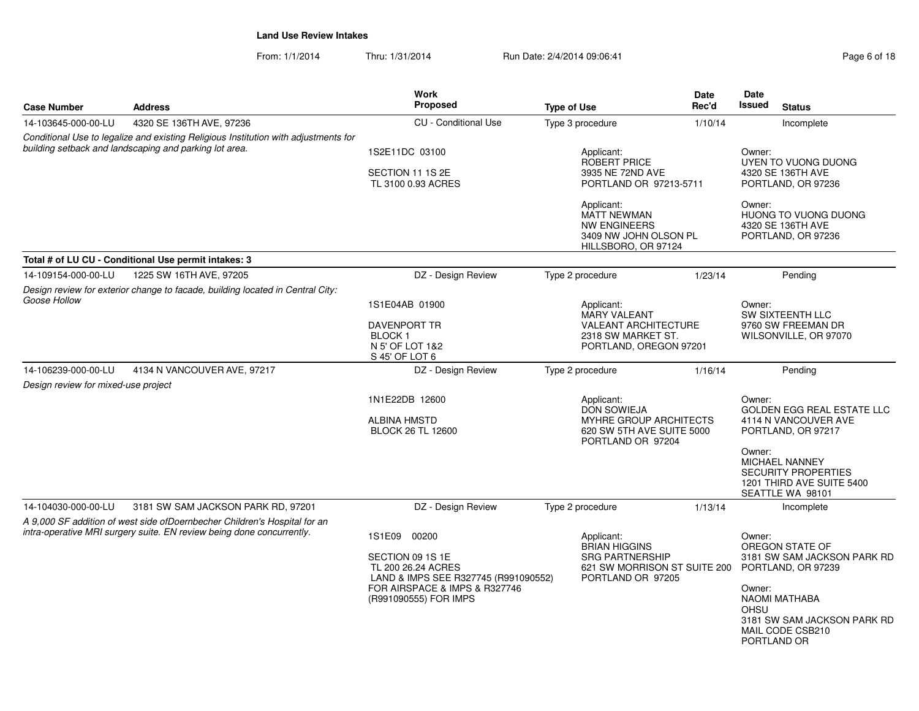From: 1/1/2014Thru: 1/31/2014 **Run Date: 2/4/2014 09:06:41** Pag

| Page 6 of 18 |  |
|--------------|--|
|--------------|--|

| <b>Case Number</b>                  | <b>Address</b>                                                                                                                                     | <b>Work</b><br>Proposed                                                        | <b>Type of Use</b> | Date<br>Rec'd                                                                                                  | Date<br><b>Issued</b><br><b>Status</b>                                                    |  |  |
|-------------------------------------|----------------------------------------------------------------------------------------------------------------------------------------------------|--------------------------------------------------------------------------------|--------------------|----------------------------------------------------------------------------------------------------------------|-------------------------------------------------------------------------------------------|--|--|
| 14-103645-000-00-LU                 | 4320 SE 136TH AVE, 97236                                                                                                                           | <b>CU</b> - Conditional Use                                                    | Type 3 procedure   | 1/10/14                                                                                                        | Incomplete                                                                                |  |  |
|                                     | Conditional Use to legalize and existing Religious Institution with adjustments for<br>building setback and landscaping and parking lot area.      |                                                                                |                    |                                                                                                                |                                                                                           |  |  |
|                                     |                                                                                                                                                    | 1S2E11DC 03100                                                                 | Applicant:         | <b>ROBERT PRICE</b>                                                                                            | Owner:<br>UYEN TO VUONG DUONG                                                             |  |  |
|                                     |                                                                                                                                                    | SECTION 11 1S 2E                                                               |                    | 3935 NE 72ND AVE                                                                                               | 4320 SE 136TH AVE                                                                         |  |  |
|                                     |                                                                                                                                                    | TL 3100 0.93 ACRES                                                             |                    | PORTLAND OR 97213-5711                                                                                         | PORTLAND, OR 97236                                                                        |  |  |
|                                     |                                                                                                                                                    |                                                                                | Applicant:         | <b>MATT NEWMAN</b><br>NW ENGINEERS<br>3409 NW JOHN OLSON PL<br>HILLSBORO, OR 97124                             | Owner:<br>HUONG TO VUONG DUONG<br>4320 SE 136TH AVE<br>PORTLAND, OR 97236                 |  |  |
|                                     | Total # of LU CU - Conditional Use permit intakes: 3                                                                                               |                                                                                |                    |                                                                                                                |                                                                                           |  |  |
| 14-109154-000-00-LU                 | 1225 SW 16TH AVE, 97205                                                                                                                            | DZ - Design Review                                                             | Type 2 procedure   | 1/23/14                                                                                                        | Pendina                                                                                   |  |  |
|                                     | Design review for exterior change to facade, building located in Central City:                                                                     |                                                                                |                    |                                                                                                                |                                                                                           |  |  |
| Goose Hollow                        |                                                                                                                                                    | 1S1E04AB 01900                                                                 | Applicant:         | MARY VALEANT                                                                                                   | Owner:<br>SW SIXTEENTH LLC                                                                |  |  |
|                                     |                                                                                                                                                    | <b>DAVENPORT TR</b><br>BLOCK <sub>1</sub>                                      |                    | <b>VALEANT ARCHITECTURE</b><br>2318 SW MARKET ST.                                                              | 9760 SW FREEMAN DR<br>WILSONVILLE, OR 97070                                               |  |  |
|                                     |                                                                                                                                                    | N 5' OF LOT 1&2<br>S 45' OF LOT 6                                              |                    | PORTLAND, OREGON 97201                                                                                         |                                                                                           |  |  |
| 14-106239-000-00-LU                 | 4134 N VANCOUVER AVE, 97217                                                                                                                        | DZ - Design Review                                                             | Type 2 procedure   | 1/16/14                                                                                                        | Pending                                                                                   |  |  |
| Design review for mixed-use project |                                                                                                                                                    |                                                                                |                    |                                                                                                                |                                                                                           |  |  |
|                                     |                                                                                                                                                    | 1N1E22DB 12600                                                                 | Applicant:         | <b>DON SOWIEJA</b>                                                                                             | Owner:<br><b>GOLDEN EGG REAL ESTATE LLC</b>                                               |  |  |
|                                     |                                                                                                                                                    | <b>ALBINA HMSTD</b><br><b>BLOCK 26 TL 12600</b>                                |                    | MYHRE GROUP ARCHITECTS<br>620 SW 5TH AVE SUITE 5000<br>PORTLAND OR 97204                                       | 4114 N VANCOUVER AVE<br>PORTLAND, OR 97217                                                |  |  |
|                                     |                                                                                                                                                    |                                                                                |                    | Owner:<br><b>MICHAEL NANNEY</b><br><b>SECURITY PROPERTIES</b><br>1201 THIRD AVE SUITE 5400<br>SEATTLE WA 98101 |                                                                                           |  |  |
| 14-104030-000-00-LU                 | 3181 SW SAM JACKSON PARK RD, 97201                                                                                                                 | DZ - Design Review                                                             | Type 2 procedure   | 1/13/14                                                                                                        | Incomplete                                                                                |  |  |
|                                     | A 9,000 SF addition of west side ofDoernbecher Children's Hospital for an<br>intra-operative MRI surgery suite. EN review being done concurrently. | 1S1E09<br>00200                                                                | Applicant:         |                                                                                                                | Owner:                                                                                    |  |  |
|                                     |                                                                                                                                                    |                                                                                |                    | <b>BRIAN HIGGINS</b>                                                                                           | OREGON STATE OF                                                                           |  |  |
|                                     |                                                                                                                                                    | SECTION 09 1S 1E<br>TL 200 26.24 ACRES<br>LAND & IMPS SEE R327745 (R991090552) |                    | <b>SRG PARTNERSHIP</b><br>621 SW MORRISON ST SUITE 200<br>PORTLAND OR 97205                                    | 3181 SW SAM JACKSON PARK RD<br>PORTLAND, OR 97239                                         |  |  |
|                                     |                                                                                                                                                    | FOR AIRSPACE & IMPS & R327746<br>(R991090555) FOR IMPS                         |                    |                                                                                                                | Owner:<br>NAOMI MATHABA<br><b>OHSU</b><br>3181 SW SAM JACKSON PARK RD<br>MAIL CODE CSB210 |  |  |
|                                     |                                                                                                                                                    |                                                                                |                    |                                                                                                                | PORTLAND OR                                                                               |  |  |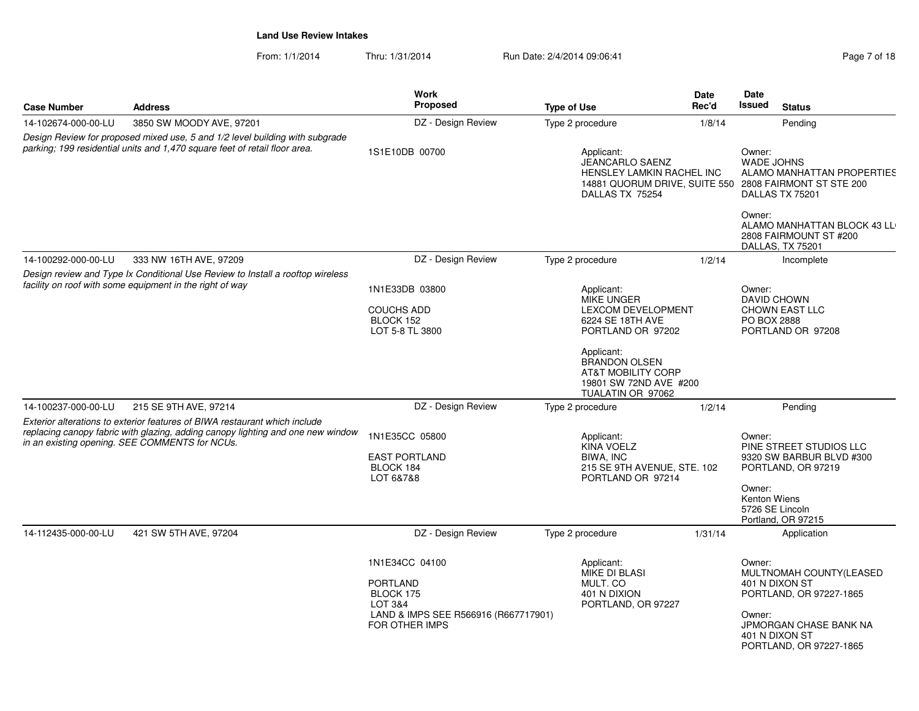|                     |                                                                                                                                                                                                                 | <b>Work</b><br><b>Proposed</b>                                                                                      |                                                                                                                                                                                                                             | Date<br>Rec'd | Date<br>Issued                   |                                                                                                                                             |
|---------------------|-----------------------------------------------------------------------------------------------------------------------------------------------------------------------------------------------------------------|---------------------------------------------------------------------------------------------------------------------|-----------------------------------------------------------------------------------------------------------------------------------------------------------------------------------------------------------------------------|---------------|----------------------------------|---------------------------------------------------------------------------------------------------------------------------------------------|
| <b>Case Number</b>  | <b>Address</b>                                                                                                                                                                                                  |                                                                                                                     | <b>Type of Use</b>                                                                                                                                                                                                          |               |                                  | <b>Status</b>                                                                                                                               |
| 14-102674-000-00-LU | 3850 SW MOODY AVE, 97201                                                                                                                                                                                        | DZ - Design Review                                                                                                  | Type 2 procedure                                                                                                                                                                                                            | 1/8/14        |                                  | Pending                                                                                                                                     |
|                     | Design Review for proposed mixed use, 5 and 1/2 level building with subgrade<br>parking; 199 residential units and 1,470 square feet of retail floor area.                                                      | 1S1E10DB 00700                                                                                                      | Applicant:<br><b>JEANCARLO SAENZ</b><br>HENSLEY LAMKIN RACHEL INC<br>14881 QUORUM DRIVE, SUITE 550 2808 FAIRMONT ST STE 200<br>DALLAS TX 75254                                                                              |               | Owner:<br><b>WADE JOHNS</b>      | ALAMO MANHATTAN PROPERTIES<br>DALLAS TX 75201                                                                                               |
|                     |                                                                                                                                                                                                                 |                                                                                                                     |                                                                                                                                                                                                                             |               |                                  | ALAMO MANHATTAN BLOCK 43 LL<br>2808 FAIRMOUNT ST #200<br>DALLAS, TX 75201                                                                   |
| 14-100292-000-00-LU | 333 NW 16TH AVE, 97209                                                                                                                                                                                          | DZ - Design Review                                                                                                  | Type 2 procedure                                                                                                                                                                                                            | 1/2/14        |                                  | Incomplete                                                                                                                                  |
|                     | Design review and Type Ix Conditional Use Review to Install a rooftop wireless<br>facility on roof with some equipment in the right of way                                                                      | 1N1E33DB 03800<br><b>COUCHS ADD</b><br>BLOCK 152<br>LOT 5-8 TL 3800                                                 | Applicant:<br><b>MIKE UNGER</b><br><b>LEXCOM DEVELOPMENT</b><br>6224 SE 18TH AVE<br>PORTLAND OR 97202<br>Applicant:<br><b>BRANDON OLSEN</b><br><b>AT&amp;T MOBILITY CORP</b><br>19801 SW 72ND AVE #200<br>TUALATIN OR 97062 |               | Owner:<br>PO BOX 2888            | DAVID CHOWN<br><b>CHOWN EAST LLC</b><br>PORTLAND OR 97208                                                                                   |
| 14-100237-000-00-LU | 215 SE 9TH AVE, 97214                                                                                                                                                                                           | DZ - Design Review                                                                                                  | Type 2 procedure                                                                                                                                                                                                            | 1/2/14        |                                  | Pending                                                                                                                                     |
|                     | Exterior alterations to exterior features of BIWA restaurant which include<br>replacing canopy fabric with glazing, adding canopy lighting and one new window<br>in an existing opening. SEE COMMENTS for NCUs. | 1N1E35CC 05800<br><b>EAST PORTLAND</b><br>BLOCK 184<br>LOT 6&7&8                                                    | Applicant:<br><b>KINA VOELZ</b><br>BIWA, INC<br>215 SE 9TH AVENUE, STE. 102<br>PORTLAND OR 97214                                                                                                                            |               | Owner:<br>Owner:<br>Kenton Wiens | PINE STREET STUDIOS LLC<br>9320 SW BARBUR BLVD #300<br>PORTLAND, OR 97219<br>5726 SE Lincoln<br>Portland, OR 97215                          |
| 14-112435-000-00-LU | 421 SW 5TH AVE, 97204                                                                                                                                                                                           | DZ - Design Review                                                                                                  | Type 2 procedure                                                                                                                                                                                                            | 1/31/14       |                                  | Application                                                                                                                                 |
|                     |                                                                                                                                                                                                                 | 1N1E34CC 04100<br><b>PORTLAND</b><br>BLOCK 175<br>LOT 3&4<br>LAND & IMPS SEE R566916 (R667717901)<br>FOR OTHER IMPS | Applicant:<br><b>MIKE DI BLASI</b><br>MULT. CO<br>401 N DIXION<br>PORTLAND, OR 97227                                                                                                                                        |               | Owner:<br>Owner:                 | MULTNOMAH COUNTY(LEASED<br>401 N DIXON ST<br>PORTLAND, OR 97227-1865<br>JPMORGAN CHASE BANK NA<br>401 N DIXON ST<br>PORTLAND, OR 97227-1865 |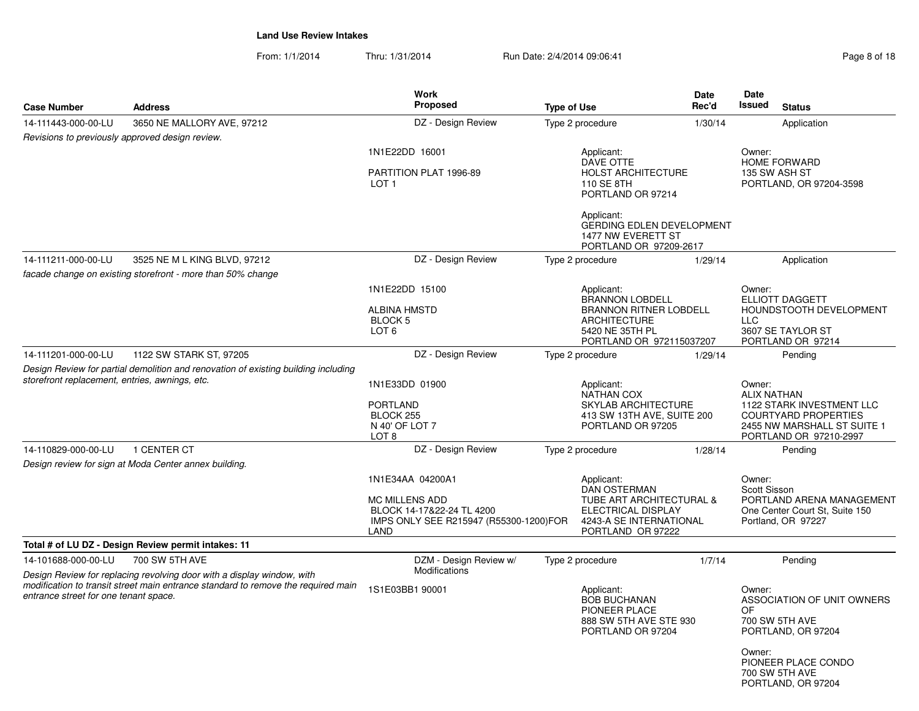From: 1/1/2014Thru: 1/31/2014 Run Date: 2/4/2014 09:06:41

| <b>Case Number</b>                             | <b>Address</b>                                                                                                                                              | Work<br>Proposed                                                                                                         | <b>Type of Use</b> |                                                                                                                                     | Date<br>Rec'd | <b>Date</b><br><b>Issued</b>                                    | <b>Status</b>                                                                                                     |
|------------------------------------------------|-------------------------------------------------------------------------------------------------------------------------------------------------------------|--------------------------------------------------------------------------------------------------------------------------|--------------------|-------------------------------------------------------------------------------------------------------------------------------------|---------------|-----------------------------------------------------------------|-------------------------------------------------------------------------------------------------------------------|
| 14-111443-000-00-LU                            | 3650 NE MALLORY AVE, 97212                                                                                                                                  | DZ - Design Review                                                                                                       |                    | Type 2 procedure                                                                                                                    | 1/30/14       |                                                                 | Application                                                                                                       |
|                                                | Revisions to previously approved design review.                                                                                                             |                                                                                                                          |                    |                                                                                                                                     |               |                                                                 |                                                                                                                   |
|                                                |                                                                                                                                                             | 1N1E22DD 16001                                                                                                           |                    | Applicant:                                                                                                                          |               | Owner:                                                          |                                                                                                                   |
|                                                |                                                                                                                                                             | PARTITION PLAT 1996-89<br>LOT <sub>1</sub>                                                                               |                    | <b>DAVE OTTE</b><br><b>HOLST ARCHITECTURE</b><br>110 SE 8TH<br>PORTLAND OR 97214                                                    |               | <b>HOME FORWARD</b><br>135 SW ASH ST<br>PORTLAND, OR 97204-3598 |                                                                                                                   |
|                                                |                                                                                                                                                             |                                                                                                                          |                    | Applicant:<br><b>GERDING EDLEN DEVELOPMENT</b><br>1477 NW EVERETT ST<br>PORTLAND OR 97209-2617                                      |               |                                                                 |                                                                                                                   |
| 14-111211-000-00-LU                            | 3525 NE M L KING BLVD, 97212                                                                                                                                | DZ - Design Review                                                                                                       |                    | Type 2 procedure                                                                                                                    | 1/29/14       |                                                                 | Application                                                                                                       |
|                                                | facade change on existing storefront - more than 50% change                                                                                                 |                                                                                                                          |                    |                                                                                                                                     |               |                                                                 |                                                                                                                   |
|                                                |                                                                                                                                                             | 1N1E22DD 15100<br><b>ALBINA HMSTD</b>                                                                                    |                    | Applicant:<br><b>BRANNON LOBDELL</b><br><b>BRANNON RITNER LOBDELL</b>                                                               |               | Owner:                                                          | <b>ELLIOTT DAGGETT</b><br>HOUNDSTOOTH DEVELOPMENT                                                                 |
|                                                |                                                                                                                                                             | BLOCK 5<br>LOT <sub>6</sub>                                                                                              |                    | <b>ARCHITECTURE</b><br>5420 NE 35TH PL<br>PORTLAND OR 972115037207                                                                  |               | <b>LLC</b>                                                      | 3607 SE TAYLOR ST<br>PORTLAND OR 97214                                                                            |
| 14-111201-000-00-LU                            | 1122 SW STARK ST, 97205                                                                                                                                     | DZ - Design Review                                                                                                       |                    | Type 2 procedure                                                                                                                    | 1/29/14       |                                                                 | Pendina                                                                                                           |
| storefront replacement, entries, awnings, etc. | Design Review for partial demolition and renovation of existing building including                                                                          | 1N1E33DD 01900<br><b>PORTLAND</b><br>BLOCK 255<br>N 40' OF LOT 7<br>LOT 8                                                |                    | Applicant:<br><b>NATHAN COX</b><br><b>SKYLAB ARCHITECTURE</b><br>413 SW 13TH AVE, SUITE 200<br>PORTLAND OR 97205                    |               | Owner:<br><b>ALIX NATHAN</b>                                    | 1122 STARK INVESTMENT LLC<br><b>COURTYARD PROPERTIES</b><br>2455 NW MARSHALL ST SUITE 1<br>PORTLAND OR 97210-2997 |
| 14-110829-000-00-LU                            | 1 CENTER CT                                                                                                                                                 | DZ - Design Review                                                                                                       |                    | Type 2 procedure                                                                                                                    | 1/28/14       |                                                                 | Pending                                                                                                           |
|                                                | Design review for sign at Moda Center annex building.                                                                                                       |                                                                                                                          |                    |                                                                                                                                     |               |                                                                 |                                                                                                                   |
|                                                |                                                                                                                                                             | 1N1E34AA 04200A1<br><b>MC MILLENS ADD</b><br>BLOCK 14-17&22-24 TL 4200<br>IMPS ONLY SEE R215947 (R55300-1200)FOR<br>LAND |                    | Applicant:<br><b>DAN OSTERMAN</b><br>TUBE ART ARCHITECTURAL &<br>ELECTRICAL DISPLAY<br>4243-A SE INTERNATIONAL<br>PORTLAND OR 97222 |               | Owner:<br>Scott Sisson                                          | PORTLAND ARENA MANAGEMENT<br>One Center Court St, Suite 150<br>Portland, OR 97227                                 |
|                                                | Total # of LU DZ - Design Review permit intakes: 11                                                                                                         |                                                                                                                          |                    |                                                                                                                                     |               |                                                                 |                                                                                                                   |
| 14-101688-000-00-LU                            | 700 SW 5TH AVE                                                                                                                                              | DZM - Design Review w/                                                                                                   |                    | Type 2 procedure                                                                                                                    | 1/7/14        |                                                                 | Pending                                                                                                           |
| entrance street for one tenant space.          | Design Review for replacing revolving door with a display window, with<br>modification to transit street main entrance standard to remove the required main | Modifications<br>1S1E03BB1 90001                                                                                         |                    | Applicant:<br><b>BOB BUCHANAN</b><br>PIONEER PLACE<br>888 SW 5TH AVE STE 930<br>PORTLAND OR 97204                                   |               | Owner:<br><b>OF</b><br>Owner:                                   | ASSOCIATION OF UNIT OWNERS<br>700 SW 5TH AVE<br>PORTLAND, OR 97204<br>PIONEER PLACE CONDO<br>700 SW 5TH AVE       |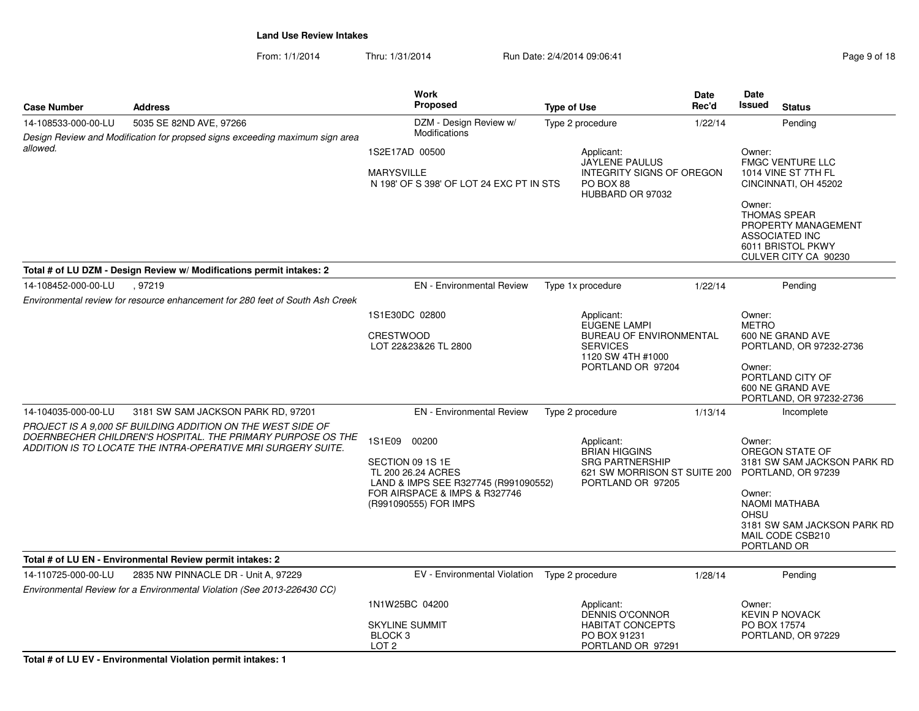From: 1/1/2014Thru: 1/31/2014 Run Date: 2/4/2014 09:06:41 Page 9 of 18

|                     |                                                                                                                                                                                            | Work                                                                                                                                                     |                    |                                                                                                                   | Date    | Date                                        |                                                                                                                                                 |
|---------------------|--------------------------------------------------------------------------------------------------------------------------------------------------------------------------------------------|----------------------------------------------------------------------------------------------------------------------------------------------------------|--------------------|-------------------------------------------------------------------------------------------------------------------|---------|---------------------------------------------|-------------------------------------------------------------------------------------------------------------------------------------------------|
| <b>Case Number</b>  | <b>Address</b>                                                                                                                                                                             | <b>Proposed</b>                                                                                                                                          | <b>Type of Use</b> |                                                                                                                   | Rec'd   | Issued                                      | <b>Status</b>                                                                                                                                   |
| 14-108533-000-00-LU | 5035 SE 82ND AVE, 97266<br>Design Review and Modification for propsed signs exceeding maximum sign area                                                                                    | DZM - Design Review w/<br>Modifications                                                                                                                  |                    | Type 2 procedure                                                                                                  | 1/22/14 |                                             | Pending                                                                                                                                         |
| allowed.            |                                                                                                                                                                                            | 1S2E17AD 00500<br><b>MARYSVILLE</b><br>N 198' OF S 398' OF LOT 24 EXC PT IN STS                                                                          |                    | Applicant:<br><b>JAYLENE PAULUS</b><br>INTEGRITY SIGNS OF OREGON<br>PO BOX 88<br>HUBBARD OR 97032                 |         | Owner:<br>Owner:                            | <b>FMGC VENTURE LLC</b><br>1014 VINE ST 7TH FL<br>CINCINNATI, OH 45202                                                                          |
|                     |                                                                                                                                                                                            |                                                                                                                                                          |                    |                                                                                                                   |         |                                             | <b>THOMAS SPEAR</b><br>PROPERTY MANAGEMENT<br>ASSOCIATED INC<br>6011 BRISTOL PKWY<br>CULVER CITY CA 90230                                       |
|                     | Total # of LU DZM - Design Review w/ Modifications permit intakes: 2                                                                                                                       |                                                                                                                                                          |                    |                                                                                                                   |         |                                             |                                                                                                                                                 |
| 14-108452-000-00-LU | .97219                                                                                                                                                                                     | <b>EN</b> - Environmental Review                                                                                                                         |                    | Type 1x procedure                                                                                                 | 1/22/14 |                                             | Pending                                                                                                                                         |
|                     | Environmental review for resource enhancement for 280 feet of South Ash Creek                                                                                                              |                                                                                                                                                          |                    |                                                                                                                   |         |                                             |                                                                                                                                                 |
|                     |                                                                                                                                                                                            | 1S1E30DC 02800                                                                                                                                           |                    | Applicant:                                                                                                        |         | Owner:<br><b>METRO</b>                      |                                                                                                                                                 |
|                     |                                                                                                                                                                                            | <b>CRESTWOOD</b><br>LOT 22&23&26 TL 2800                                                                                                                 |                    | EUGENE LAMPI<br><b>BUREAU OF ENVIRONMENTAL</b><br><b>SERVICES</b><br>1120 SW 4TH #1000                            |         | 600 NE GRAND AVE<br>PORTLAND, OR 97232-2736 |                                                                                                                                                 |
|                     |                                                                                                                                                                                            |                                                                                                                                                          |                    | PORTLAND OR 97204                                                                                                 |         | Owner:                                      | PORTLAND CITY OF<br>600 NE GRAND AVE<br>PORTLAND, OR 97232-2736                                                                                 |
| 14-104035-000-00-LU | 3181 SW SAM JACKSON PARK RD, 97201                                                                                                                                                         | <b>EN</b> - Environmental Review                                                                                                                         |                    | Type 2 procedure                                                                                                  | 1/13/14 |                                             | Incomplete                                                                                                                                      |
|                     | PROJECT IS A 9.000 SF BUILDING ADDITION ON THE WEST SIDE OF<br>DOERNBECHER CHILDREN'S HOSPITAL. THE PRIMARY PURPOSE OS THE<br>ADDITION IS TO LOCATE THE INTRA-OPERATIVE MRI SURGERY SUITE. | 1S1E09 00200<br>SECTION 09 1S 1E<br>TL 200 26.24 ACRES<br>LAND & IMPS SEE R327745 (R991090552)<br>FOR AIRSPACE & IMPS & R327746<br>(R991090555) FOR IMPS |                    | Applicant:<br><b>BRIAN HIGGINS</b><br><b>SRG PARTNERSHIP</b><br>621 SW MORRISON ST SUITE 200<br>PORTLAND OR 97205 |         | Owner:<br>Owner:<br>OHSU<br>PORTLAND OR     | OREGON STATE OF<br>3181 SW SAM JACKSON PARK RD<br>PORTLAND, OR 97239<br><b>NAOMI MATHABA</b><br>3181 SW SAM JACKSON PARK RD<br>MAIL CODE CSB210 |
|                     | Total # of LU EN - Environmental Review permit intakes: 2                                                                                                                                  |                                                                                                                                                          |                    |                                                                                                                   |         |                                             |                                                                                                                                                 |
| 14-110725-000-00-LU | 2835 NW PINNACLE DR - Unit A, 97229<br>Environmental Review for a Environmental Violation (See 2013-226430 CC)                                                                             | EV - Environmental Violation  Type 2 procedure                                                                                                           |                    |                                                                                                                   | 1/28/14 |                                             | Pending                                                                                                                                         |
|                     |                                                                                                                                                                                            | 1N1W25BC 04200                                                                                                                                           |                    | Applicant:<br><b>DENNIS O'CONNOR</b>                                                                              |         | Owner:                                      | <b>KEVIN P NOVACK</b>                                                                                                                           |
|                     |                                                                                                                                                                                            | <b>SKYLINE SUMMIT</b><br>BLOCK <sub>3</sub><br>LOT <sub>2</sub>                                                                                          |                    | <b>HABITAT CONCEPTS</b><br>PO BOX 91231<br>PORTLAND OR 97291                                                      |         | PO BOX 17574                                | PORTLAND, OR 97229                                                                                                                              |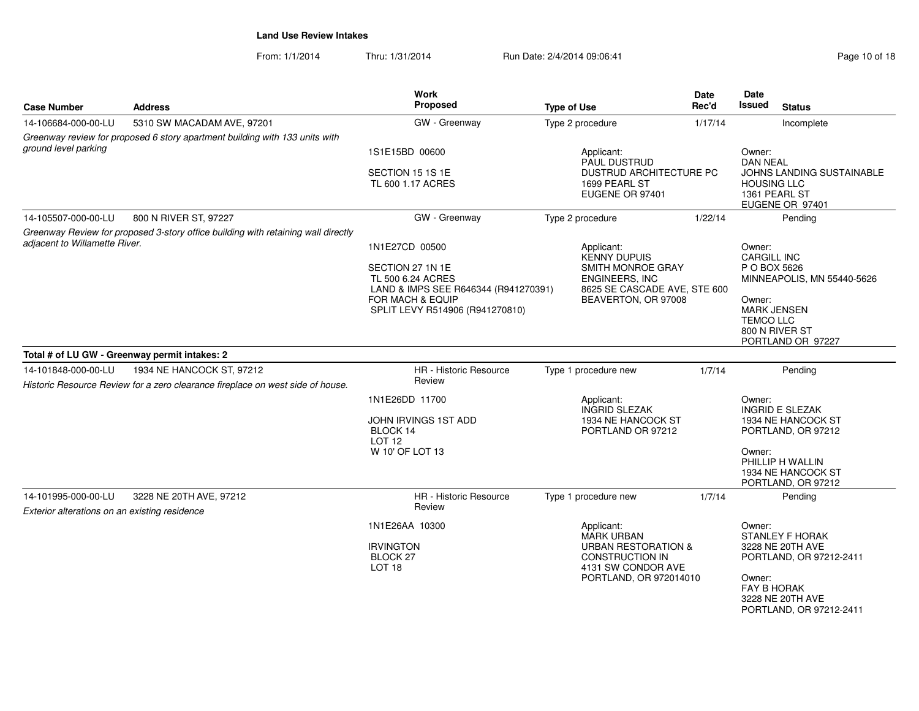From: 1/1/2014Thru: 1/31/2014 Run Date: 2/4/2014 09:06:41 Page 10 of 18

| <b>Case Number</b>                                                   | <b>Address</b>                                                                                              | Work<br>Proposed                                                                                                                                       | <b>Type of Use</b>                                                                                                                          | <b>Date</b><br>Rec'd | Date<br><b>Issued</b><br><b>Status</b>                                                                                                                                |
|----------------------------------------------------------------------|-------------------------------------------------------------------------------------------------------------|--------------------------------------------------------------------------------------------------------------------------------------------------------|---------------------------------------------------------------------------------------------------------------------------------------------|----------------------|-----------------------------------------------------------------------------------------------------------------------------------------------------------------------|
| 14-106684-000-00-LU                                                  | 5310 SW MACADAM AVE, 97201                                                                                  | GW - Greenway                                                                                                                                          | Type 2 procedure                                                                                                                            | 1/17/14              | Incomplete                                                                                                                                                            |
| ground level parking                                                 | Greenway review for proposed 6 story apartment building with 133 units with                                 | 1S1E15BD 00600<br>SECTION 15 1S 1E<br>TL 600 1.17 ACRES                                                                                                | Applicant:<br>PAUL DUSTRUD<br>DUSTRUD ARCHITECTURE PC<br>1699 PEARL ST<br>EUGENE OR 97401                                                   |                      | Owner:<br><b>DAN NEAL</b><br>JOHNS LANDING SUSTAINABLE<br><b>HOUSING LLC</b><br>1361 PEARL ST<br>EUGENE OR 97401                                                      |
| 14-105507-000-00-LU                                                  | 800 N RIVER ST, 97227                                                                                       | GW - Greenway                                                                                                                                          | Type 2 procedure                                                                                                                            | 1/22/14              | Pending                                                                                                                                                               |
| adiacent to Willamette River.                                        | Greenway Review for proposed 3-story office building with retaining wall directly                           | 1N1E27CD 00500<br>SECTION 27 1N 1E<br>TL 500 6.24 ACRES<br>LAND & IMPS SEE R646344 (R941270391)<br>FOR MACH & EQUIP<br>SPLIT LEVY R514906 (R941270810) | Applicant:<br><b>KENNY DUPUIS</b><br>SMITH MONROE GRAY<br>ENGINEERS, INC<br>8625 SE CASCADE AVE, STE 600<br>BEAVERTON, OR 97008             |                      | Owner:<br><b>CARGILL INC</b><br>P O BOX 5626<br>MINNEAPOLIS, MN 55440-5626<br>Owner:<br><b>MARK JENSEN</b><br><b>TEMCO LLC</b><br>800 N RIVER ST<br>PORTLAND OR 97227 |
|                                                                      | Total # of LU GW - Greenway permit intakes: 2                                                               |                                                                                                                                                        |                                                                                                                                             |                      |                                                                                                                                                                       |
| 14-101848-000-00-LU                                                  | 1934 NE HANCOCK ST, 97212<br>Historic Resource Review for a zero clearance fireplace on west side of house. | HR - Historic Resource<br>Review                                                                                                                       | Type 1 procedure new                                                                                                                        | 1/7/14               | Pending                                                                                                                                                               |
| BLOCK 14<br><b>LOT 12</b>                                            |                                                                                                             | 1N1E26DD 11700<br>JOHN IRVINGS 1ST ADD<br>W 10' OF LOT 13                                                                                              | Applicant:<br><b>INGRID SLEZAK</b><br>1934 NE HANCOCK ST<br>PORTLAND OR 97212                                                               |                      | Owner:<br><b>INGRID E SLEZAK</b><br>1934 NE HANCOCK ST<br>PORTLAND, OR 97212<br>Owner:<br>PHILLIP H WALLIN<br>1934 NE HANCOCK ST<br>PORTLAND, OR 97212                |
| 14-101995-000-00-LU<br>Exterior alterations on an existing residence | 3228 NE 20TH AVE, 97212                                                                                     | HR - Historic Resource<br>Review                                                                                                                       | Type 1 procedure new                                                                                                                        | 1/7/14               | Pending                                                                                                                                                               |
|                                                                      |                                                                                                             | 1N1E26AA 10300<br><b>IRVINGTON</b><br>BLOCK <sub>27</sub><br>LOT <sub>18</sub>                                                                         | Applicant:<br><b>MARK URBAN</b><br><b>URBAN RESTORATION &amp;</b><br><b>CONSTRUCTION IN</b><br>4131 SW CONDOR AVE<br>PORTLAND, OR 972014010 |                      | Owner:<br><b>STANLEY F HORAK</b><br>3228 NE 20TH AVE<br>PORTLAND, OR 97212-2411<br>Owner:<br><b>FAY B HORAK</b><br>3228 NE 20TH AVE<br>PORTLAND, OR 97212-2411        |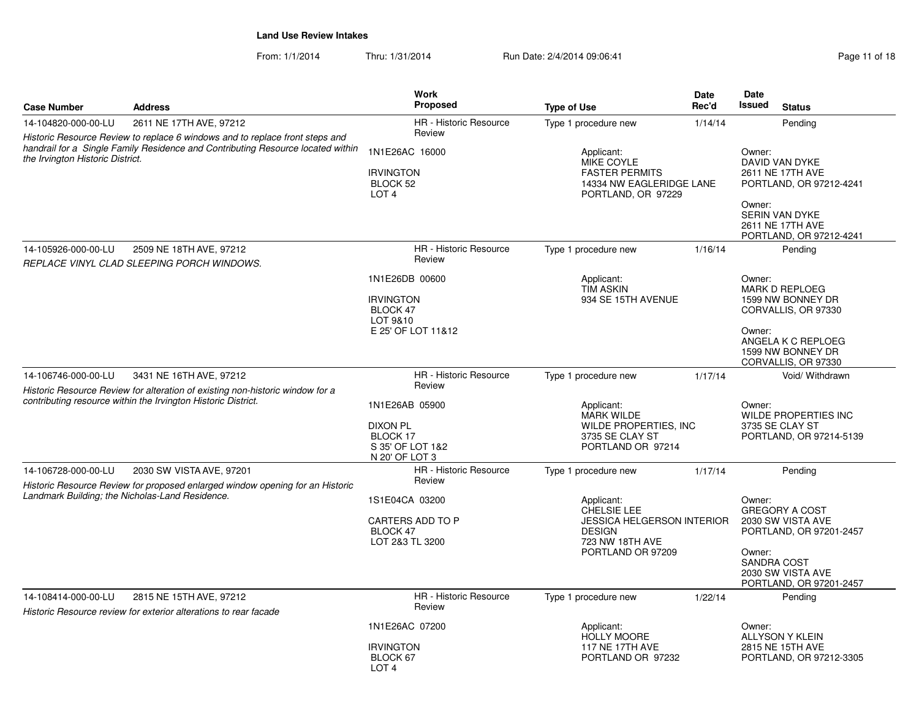From: 1/1/2014Thru: 1/31/2014 Run Date: 2/4/2014 09:06:41 Page 11 of 18

| <b>Case Number</b>                                                                                                                                                                                  | <b>Address</b>                                                                                            | <b>Work</b><br><b>Proposed</b>                                                                                          | <b>Type of Use</b>                                                                                  | <b>Date</b><br>Rec'd                                                                                                                                            | Date<br><b>Issued</b><br><b>Status</b>                                                                                                                  |
|-----------------------------------------------------------------------------------------------------------------------------------------------------------------------------------------------------|-----------------------------------------------------------------------------------------------------------|-------------------------------------------------------------------------------------------------------------------------|-----------------------------------------------------------------------------------------------------|-----------------------------------------------------------------------------------------------------------------------------------------------------------------|---------------------------------------------------------------------------------------------------------------------------------------------------------|
| 14-104820-000-00-LU                                                                                                                                                                                 | 2611 NE 17TH AVE, 97212                                                                                   | <b>HR</b> - Historic Resource                                                                                           | Type 1 procedure new                                                                                | 1/14/14                                                                                                                                                         | Pending                                                                                                                                                 |
| Historic Resource Review to replace 6 windows and to replace front steps and<br>handrail for a Single Family Residence and Contributing Resource located within<br>the Irvington Historic District. |                                                                                                           | Review<br>1N1E26AC 16000<br><b>IRVINGTON</b><br>BLOCK 52<br>LOT <sub>4</sub>                                            | Applicant:<br>MIKE COYLE<br><b>FASTER PERMITS</b><br>14334 NW EAGLERIDGE LANE<br>PORTLAND, OR 97229 |                                                                                                                                                                 | Owner:<br>DAVID VAN DYKE<br>2611 NE 17TH AVE<br>PORTLAND, OR 97212-4241<br>Owner:<br><b>SERIN VAN DYKE</b><br>2611 NE 17TH AVE                          |
| 14-105926-000-00-LU                                                                                                                                                                                 | 2509 NE 18TH AVE, 97212<br>REPLACE VINYL CLAD SLEEPING PORCH WINDOWS.                                     | <b>HR</b> - Historic Resource<br>Review                                                                                 | Type 1 procedure new                                                                                | 1/16/14                                                                                                                                                         | PORTLAND, OR 97212-4241<br>Pending                                                                                                                      |
|                                                                                                                                                                                                     |                                                                                                           | 1N1E26DB 00600<br><b>IRVINGTON</b><br>BLOCK 47<br>LOT 9&10<br>E 25' OF LOT 11&12                                        | Applicant:<br><b>TIM ASKIN</b><br>934 SE 15TH AVENUE                                                |                                                                                                                                                                 | Owner:<br><b>MARK D REPLOEG</b><br>1599 NW BONNEY DR<br>CORVALLIS, OR 97330<br>Owner:<br>ANGELA K C REPLOEG<br>1599 NW BONNEY DR<br>CORVALLIS, OR 97330 |
| 14-106746-000-00-LU                                                                                                                                                                                 | 3431 NE 16TH AVE, 97212<br>Historic Resource Review for alteration of existing non-historic window for a  | <b>HR</b> - Historic Resource<br>Review                                                                                 | Type 1 procedure new                                                                                | 1/17/14                                                                                                                                                         | Void/ Withdrawn                                                                                                                                         |
|                                                                                                                                                                                                     | contributing resource within the Irvington Historic District.                                             | 1N1E26AB 05900<br><b>DIXON PL</b><br>BLOCK 17<br>S 35' OF LOT 1&2<br>N 20' OF LOT 3                                     | Applicant:<br><b>MARK WILDE</b><br>WILDE PROPERTIES, INC<br>3735 SE CLAY ST<br>PORTLAND OR 97214    | Owner:<br>WILDE PROPERTIES INC<br>3735 SE CLAY ST<br>PORTLAND, OR 97214-5139                                                                                    |                                                                                                                                                         |
| 14-106728-000-00-LU                                                                                                                                                                                 | 2030 SW VISTA AVE, 97201<br>Historic Resource Review for proposed enlarged window opening for an Historic | HR - Historic Resource<br>Review                                                                                        | Type 1 procedure new                                                                                | 1/17/14                                                                                                                                                         | Pending                                                                                                                                                 |
| Landmark Building; the Nicholas-Land Residence.<br>1S1E04CA 03200<br>CARTERS ADD TO P<br>BLOCK 47<br>LOT 2&3 TL 3200                                                                                |                                                                                                           | Applicant:<br>CHELSIE LEE<br><b>JESSICA HELGERSON INTERIOR</b><br><b>DESIGN</b><br>723 NW 18TH AVE<br>PORTLAND OR 97209 |                                                                                                     | Owner:<br><b>GREGORY A COST</b><br>2030 SW VISTA AVE<br>PORTLAND, OR 97201-2457<br>Owner:<br><b>SANDRA COST</b><br>2030 SW VISTA AVE<br>PORTLAND, OR 97201-2457 |                                                                                                                                                         |
| 14-108414-000-00-LU                                                                                                                                                                                 | 2815 NE 15TH AVE, 97212<br>Historic Resource review for exterior alterations to rear facade               | HR - Historic Resource<br>Review                                                                                        | Type 1 procedure new                                                                                | 1/22/14                                                                                                                                                         | Pending                                                                                                                                                 |
|                                                                                                                                                                                                     |                                                                                                           | 1N1E26AC 07200<br><b>IRVINGTON</b><br>BLOCK 67<br>LOT <sub>4</sub>                                                      | Applicant:<br><b>HOLLY MOORE</b><br><b>117 NE 17TH AVE</b><br>PORTLAND OR 97232                     |                                                                                                                                                                 | Owner:<br><b>ALLYSON Y KLEIN</b><br>2815 NE 15TH AVE<br>PORTLAND, OR 97212-3305                                                                         |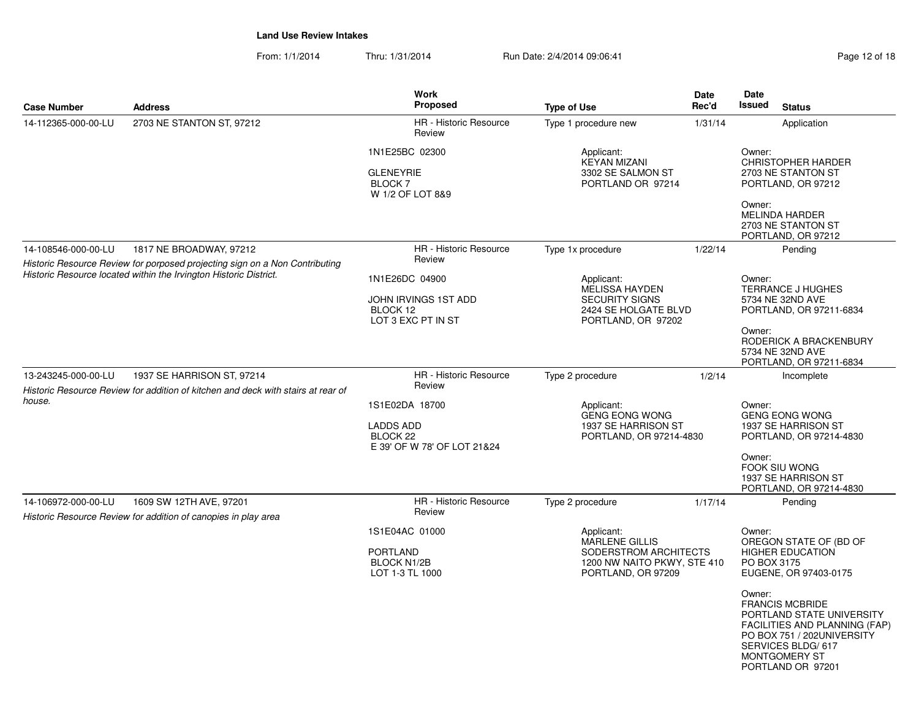From: 1/1/2014Thru: 1/31/2014 Run Date: 2/4/2014 09:06:41 Page 12 of 18

| <b>Case Number</b>  | <b>Address</b>                                                                                                 | <b>Work</b><br>Proposed                                                                  | <b>Type of Use</b>                                                                                                | Date<br>Rec'd                                  | Date<br><b>Issued</b>                                                           | <b>Status</b>                                                                                                                                                                        |
|---------------------|----------------------------------------------------------------------------------------------------------------|------------------------------------------------------------------------------------------|-------------------------------------------------------------------------------------------------------------------|------------------------------------------------|---------------------------------------------------------------------------------|--------------------------------------------------------------------------------------------------------------------------------------------------------------------------------------|
| 14-112365-000-00-LU | 2703 NE STANTON ST, 97212                                                                                      | HR - Historic Resource<br>Review                                                         | Type 1 procedure new                                                                                              | 1/31/14                                        |                                                                                 | Application                                                                                                                                                                          |
|                     |                                                                                                                | 1N1E25BC 02300<br><b>GLENEYRIE</b><br><b>BLOCK7</b><br>W 1/2 OF LOT 8&9                  | Applicant:<br><b>KEYAN MIZANI</b><br>3302 SE SALMON ST<br>PORTLAND OR 97214                                       |                                                | Owner:                                                                          | <b>CHRISTOPHER HARDER</b><br>2703 NE STANTON ST<br>PORTLAND, OR 97212                                                                                                                |
|                     |                                                                                                                |                                                                                          |                                                                                                                   |                                                | Owner:                                                                          | MELINDA HARDER<br>2703 NE STANTON ST<br>PORTLAND, OR 97212                                                                                                                           |
| 14-108546-000-00-LU | 1817 NE BROADWAY, 97212                                                                                        | HR - Historic Resource                                                                   | Type 1x procedure                                                                                                 | 1/22/14                                        |                                                                                 | Pending                                                                                                                                                                              |
|                     | Historic Resource Review for porposed projecting sign on a Non Contributing                                    | Review                                                                                   |                                                                                                                   |                                                |                                                                                 |                                                                                                                                                                                      |
|                     | Historic Resource located within the Irvington Historic District.                                              | 1N1E26DC 04900<br>JOHN IRVINGS 1ST ADD<br>BLOCK 12<br>LOT 3 EXC PT IN ST                 | Applicant:<br>MELISSA HAYDEN<br><b>SECURITY SIGNS</b><br>2424 SE HOLGATE BLVD<br>PORTLAND, OR 97202               |                                                | Owner:                                                                          | TERRANCE J HUGHES<br>5734 NE 32ND AVE<br>PORTLAND, OR 97211-6834                                                                                                                     |
|                     |                                                                                                                |                                                                                          |                                                                                                                   |                                                | Owner:<br>RODERICK A BRACKENBURY<br>5734 NE 32ND AVE<br>PORTLAND, OR 97211-6834 |                                                                                                                                                                                      |
| 13-243245-000-00-LU | 1937 SE HARRISON ST, 97214<br>Historic Resource Review for addition of kitchen and deck with stairs at rear of | HR - Historic Resource<br>Review                                                         | Type 2 procedure                                                                                                  | 1/2/14                                         |                                                                                 | Incomplete                                                                                                                                                                           |
| house.              |                                                                                                                | 1S1E02DA 18700<br><b>LADDS ADD</b><br>BLOCK <sub>22</sub><br>E 39' OF W 78' OF LOT 21&24 | Applicant:<br><b>GENG EONG WONG</b>                                                                               | 1937 SE HARRISON ST<br>PORTLAND, OR 97214-4830 |                                                                                 | <b>GENG EONG WONG</b><br>1937 SE HARRISON ST<br>PORTLAND, OR 97214-4830                                                                                                              |
|                     |                                                                                                                |                                                                                          |                                                                                                                   |                                                | Owner:                                                                          | FOOK SIU WONG<br>1937 SE HARRISON ST<br>PORTLAND, OR 97214-4830                                                                                                                      |
| 14-106972-000-00-LU | 1609 SW 12TH AVE, 97201<br>Historic Resource Review for addition of canopies in play area                      | HR - Historic Resource<br>Review                                                         | Type 2 procedure                                                                                                  | 1/17/14                                        |                                                                                 | Pending                                                                                                                                                                              |
|                     |                                                                                                                | 1S1E04AC 01000<br><b>PORTLAND</b><br><b>BLOCK N1/2B</b><br>LOT 1-3 TL 1000               | Applicant:<br><b>MARLENE GILLIS</b><br>SODERSTROM ARCHITECTS<br>1200 NW NAITO PKWY, STE 410<br>PORTLAND, OR 97209 |                                                | Owner:<br>PO BOX 3175                                                           | OREGON STATE OF (BD OF<br><b>HIGHER EDUCATION</b><br>EUGENE, OR 97403-0175                                                                                                           |
|                     |                                                                                                                |                                                                                          |                                                                                                                   |                                                | Owner:                                                                          | <b>FRANCIS MCBRIDE</b><br>PORTLAND STATE UNIVERSITY<br>FACILITIES AND PLANNING (FAP)<br>PO BOX 751 / 202UNIVERSITY<br>SERVICES BLDG/617<br><b>MONTGOMERY ST</b><br>PORTLAND OR 97201 |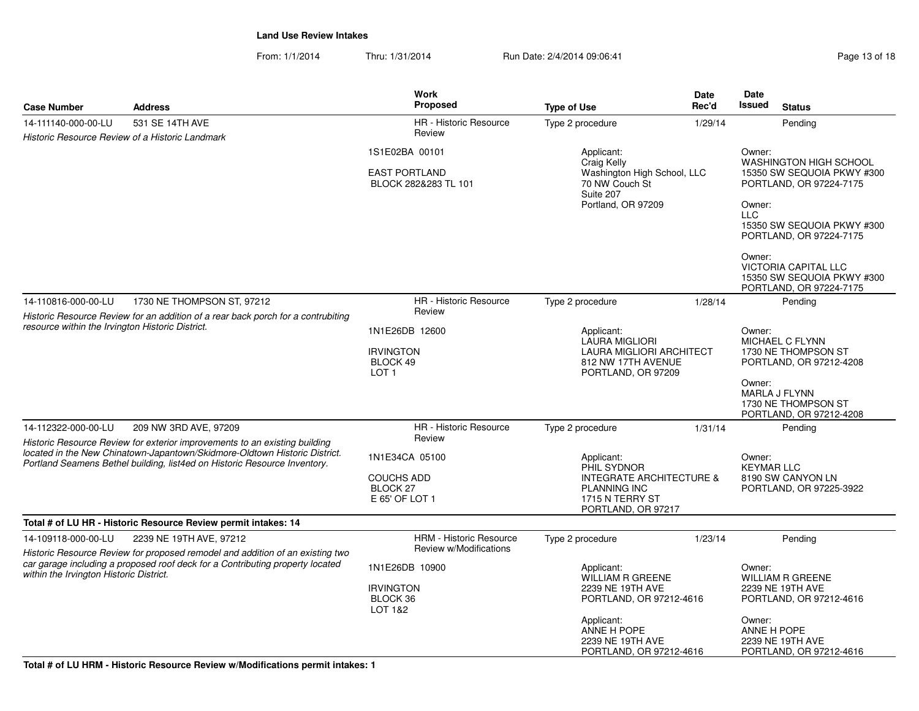From: 1/1/2014Thru: 1/31/2014 Run Date: 2/4/2014 09:06:41 Page 13 of 18

| <b>Case Number</b>                                                                                                                                                                                        | <b>Address</b>                                                                                                                                                                                                                                                                                                                                     | <b>Work</b><br>Proposed                                                                                                                                                                          | <b>Type of Use</b>                                                                                                                                                                                                                                                  | Date<br>Rec'd                                                                                                                                                              | Date<br><b>Issued</b>                           | <b>Status</b>                                                                                                                                                                                   |
|-----------------------------------------------------------------------------------------------------------------------------------------------------------------------------------------------------------|----------------------------------------------------------------------------------------------------------------------------------------------------------------------------------------------------------------------------------------------------------------------------------------------------------------------------------------------------|--------------------------------------------------------------------------------------------------------------------------------------------------------------------------------------------------|---------------------------------------------------------------------------------------------------------------------------------------------------------------------------------------------------------------------------------------------------------------------|----------------------------------------------------------------------------------------------------------------------------------------------------------------------------|-------------------------------------------------|-------------------------------------------------------------------------------------------------------------------------------------------------------------------------------------------------|
| 14-111140-000-00-LU                                                                                                                                                                                       | 531 SE 14TH AVE                                                                                                                                                                                                                                                                                                                                    | HR - Historic Resource                                                                                                                                                                           | Type 2 procedure                                                                                                                                                                                                                                                    | 1/29/14                                                                                                                                                                    |                                                 | Pending                                                                                                                                                                                         |
| Historic Resource Review of a Historic Landmark                                                                                                                                                           |                                                                                                                                                                                                                                                                                                                                                    | Review                                                                                                                                                                                           |                                                                                                                                                                                                                                                                     |                                                                                                                                                                            |                                                 |                                                                                                                                                                                                 |
|                                                                                                                                                                                                           | 1S1E02BA 00101<br>Applicant:<br>Craig Kelly<br><b>EAST PORTLAND</b><br>Washington High School, LLC<br>70 NW Couch St<br>BLOCK 282&283 TL 101<br>Suite 207<br>Portland, OR 97209                                                                                                                                                                    |                                                                                                                                                                                                  |                                                                                                                                                                                                                                                                     | Owner:<br>WASHINGTON HIGH SCHOOL<br>15350 SW SEQUOIA PKWY #300<br>PORTLAND, OR 97224-7175<br>Owner:<br><b>LLC</b><br>15350 SW SEQUOIA PKWY #300<br>PORTLAND, OR 97224-7175 |                                                 |                                                                                                                                                                                                 |
|                                                                                                                                                                                                           |                                                                                                                                                                                                                                                                                                                                                    |                                                                                                                                                                                                  |                                                                                                                                                                                                                                                                     |                                                                                                                                                                            | Owner:                                          | <b>VICTORIA CAPITAL LLC</b><br>15350 SW SEQUOIA PKWY #300<br>PORTLAND, OR 97224-7175                                                                                                            |
| 14-110816-000-00-LU                                                                                                                                                                                       | 1730 NE THOMPSON ST, 97212                                                                                                                                                                                                                                                                                                                         | <b>HR</b> - Historic Resource                                                                                                                                                                    | Type 2 procedure                                                                                                                                                                                                                                                    | 1/28/14                                                                                                                                                                    |                                                 | Pending                                                                                                                                                                                         |
| resource within the Irvington Historic District.<br>14-112322-000-00-LU                                                                                                                                   | Historic Resource Review for an addition of a rear back porch for a contrubiting<br>209 NW 3RD AVE, 97209<br>Historic Resource Review for exterior improvements to an existing building<br>located in the New Chinatown-Japantown/Skidmore-Oldtown Historic District.<br>Portland Seamens Bethel building, list4ed on Historic Resource Inventory. | Review<br>1N1E26DB 12600<br><b>IRVINGTON</b><br>BLOCK 49<br>LOT <sub>1</sub><br>HR - Historic Resource<br>Review<br>1N1E34CA 05100<br><b>COUCHS ADD</b><br>BLOCK <sub>27</sub><br>E 65' OF LOT 1 | Applicant:<br><b>LAURA MIGLIORI</b><br>LAURA MIGLIORI ARCHITECT<br>812 NW 17TH AVENUE<br>PORTLAND, OR 97209<br>Type 2 procedure<br>Applicant:<br>PHIL SYDNOR<br><b>INTEGRATE ARCHITECTURE &amp;</b><br><b>PLANNING INC</b><br>1715 N TERRY ST<br>PORTLAND, OR 97217 | 1/31/14                                                                                                                                                                    | Owner:<br>Owner:<br>Owner:<br><b>KEYMAR LLC</b> | MICHAEL C FLYNN<br>1730 NE THOMPSON ST<br>PORTLAND, OR 97212-4208<br>MARLA J FLYNN<br>1730 NE THOMPSON ST<br>PORTLAND, OR 97212-4208<br>Pending<br>8190 SW CANYON LN<br>PORTLAND, OR 97225-3922 |
|                                                                                                                                                                                                           | Total # of LU HR - Historic Resource Review permit intakes: 14                                                                                                                                                                                                                                                                                     |                                                                                                                                                                                                  |                                                                                                                                                                                                                                                                     |                                                                                                                                                                            |                                                 |                                                                                                                                                                                                 |
| 14-109118-000-00-LU                                                                                                                                                                                       | 2239 NE 19TH AVE, 97212                                                                                                                                                                                                                                                                                                                            | <b>HRM - Historic Resource</b>                                                                                                                                                                   | Type 2 procedure                                                                                                                                                                                                                                                    | 1/23/14                                                                                                                                                                    |                                                 | Pending                                                                                                                                                                                         |
| Historic Resource Review for proposed remodel and addition of an existing two<br>car garage including a proposed roof deck for a Contributing property located<br>within the Irvington Historic District. |                                                                                                                                                                                                                                                                                                                                                    | Review w/Modifications<br>1N1E26DB 10900<br><b>IRVINGTON</b><br>BLOCK 36<br>LOT 1&2                                                                                                              | Applicant:<br><b>WILLIAM R GREENE</b><br>2239 NE 19TH AVE<br>PORTLAND, OR 97212-4616<br>Applicant:<br>ANNE H POPE<br>2239 NE 19TH AVE                                                                                                                               |                                                                                                                                                                            | Owner:<br>Owner:<br>ANNE H POPE                 | <b>WILLIAM R GREENE</b><br>2239 NE 19TH AVE<br>PORTLAND, OR 97212-4616<br>2239 NE 19TH AVE<br>PORTLAND, OR 97212-4616                                                                           |

**Total # of LU HRM - Historic Resource Review w/Modifications permit intakes: 1**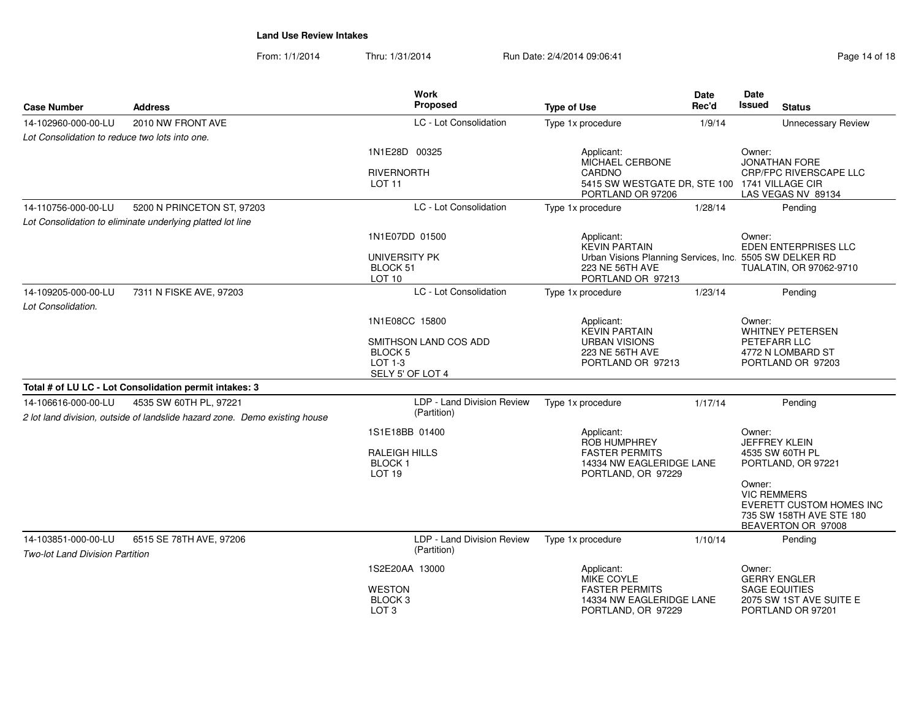From: 1/1/2014Thru: 1/31/2014 Run Date: 2/4/2014 09:06:41 Page 14 of 18

| <b>Case Number</b>                                            | <b>Address</b>                                                                                       | <b>Work</b><br>Proposed                                         | <b>Type of Use</b>                                                                              | <b>Date</b><br>Rec'd | <b>Date</b><br><b>Issued</b><br><b>Status</b>                                                              |
|---------------------------------------------------------------|------------------------------------------------------------------------------------------------------|-----------------------------------------------------------------|-------------------------------------------------------------------------------------------------|----------------------|------------------------------------------------------------------------------------------------------------|
| 14-102960-000-00-LU                                           | 2010 NW FRONT AVE                                                                                    | LC - Lot Consolidation                                          | Type 1x procedure                                                                               | 1/9/14               | <b>Unnecessary Review</b>                                                                                  |
| Lot Consolidation to reduce two lots into one.                |                                                                                                      |                                                                 |                                                                                                 |                      |                                                                                                            |
|                                                               |                                                                                                      | 1N1E28D 00325                                                   | Applicant:<br>MICHAEL CERBONE                                                                   |                      | Owner:<br><b>JONATHAN FORE</b>                                                                             |
|                                                               |                                                                                                      | <b>RIVERNORTH</b><br><b>LOT 11</b>                              | <b>CARDNO</b><br>5415 SW WESTGATE DR, STE 100 1741 VILLAGE CIR<br>PORTLAND OR 97206             |                      | <b>CRP/FPC RIVERSCAPE LLC</b><br>LAS VEGAS NV 89134                                                        |
| 14-110756-000-00-LU                                           | 5200 N PRINCETON ST, 97203                                                                           | LC - Lot Consolidation                                          | Type 1x procedure                                                                               | 1/28/14              | Pending                                                                                                    |
|                                                               | Lot Consolidation to eliminate underlying platted lot line                                           |                                                                 |                                                                                                 |                      |                                                                                                            |
|                                                               |                                                                                                      | 1N1E07DD 01500                                                  | Applicant:<br><b>KEVIN PARTAIN</b>                                                              |                      | Owner:<br>EDEN ENTERPRISES LLC                                                                             |
|                                                               |                                                                                                      | UNIVERSITY PK<br>BLOCK 51<br>LOT 10                             | Urban Visions Planning Services, Inc. 5505 SW DELKER RD<br>223 NE 56TH AVE<br>PORTLAND OR 97213 |                      | TUALATIN, OR 97062-9710                                                                                    |
| 14-109205-000-00-LU<br>Lot Consolidation.                     | 7311 N FISKE AVE, 97203                                                                              | LC - Lot Consolidation                                          | Type 1x procedure                                                                               | 1/23/14              | Pending                                                                                                    |
|                                                               |                                                                                                      | 1N1E08CC 15800                                                  | Applicant:<br><b>KEVIN PARTAIN</b>                                                              |                      | Owner:<br><b>WHITNEY PETERSEN</b>                                                                          |
|                                                               |                                                                                                      | SMITHSON LAND COS ADD<br>BLOCK 5<br>LOT 1-3<br>SELY 5' OF LOT 4 | <b>URBAN VISIONS</b><br>223 NE 56TH AVE<br>PORTLAND OR 97213                                    |                      | PETEFARR LLC<br>4772 N LOMBARD ST<br>PORTLAND OR 97203                                                     |
|                                                               | Total # of LU LC - Lot Consolidation permit intakes: 3                                               |                                                                 |                                                                                                 |                      |                                                                                                            |
| 14-106616-000-00-LU                                           | 4535 SW 60TH PL, 97221<br>2 lot land division, outside of landslide hazard zone. Demo existing house | LDP - Land Division Review<br>(Partition)                       | Type 1x procedure                                                                               | 1/17/14              | Pending                                                                                                    |
|                                                               |                                                                                                      | 1S1E18BB 01400                                                  | Applicant:<br><b>ROB HUMPHREY</b>                                                               |                      | Owner:<br><b>JEFFREY KLEIN</b>                                                                             |
|                                                               |                                                                                                      | <b>RALEIGH HILLS</b><br><b>BLOCK1</b><br>LOT <sub>19</sub>      | <b>FASTER PERMITS</b><br>14334 NW EAGLERIDGE LANE<br>PORTLAND, OR 97229                         |                      | 4535 SW 60TH PL<br>PORTLAND, OR 97221                                                                      |
|                                                               |                                                                                                      |                                                                 |                                                                                                 |                      | Owner:<br><b>VIC REMMERS</b><br>EVERETT CUSTOM HOMES INC<br>735 SW 158TH AVE STE 180<br>BEAVERTON OR 97008 |
| 14-103851-000-00-LU<br><b>Two-lot Land Division Partition</b> | 6515 SE 78TH AVE, 97206                                                                              | LDP - Land Division Review<br>(Partition)                       | Type 1x procedure                                                                               | 1/10/14              | Pending                                                                                                    |
|                                                               |                                                                                                      | 1S2E20AA 13000                                                  | Applicant:<br>MIKE COYLE                                                                        |                      | Owner:<br><b>GERRY ENGLER</b>                                                                              |
|                                                               |                                                                                                      | <b>WESTON</b><br>BLOCK <sub>3</sub><br>LOT <sub>3</sub>         | <b>FASTER PERMITS</b><br>14334 NW EAGLERIDGE LANE<br>PORTLAND, OR 97229                         |                      | <b>SAGE EQUITIES</b><br>2075 SW 1ST AVE SUITE E<br>PORTLAND OR 97201                                       |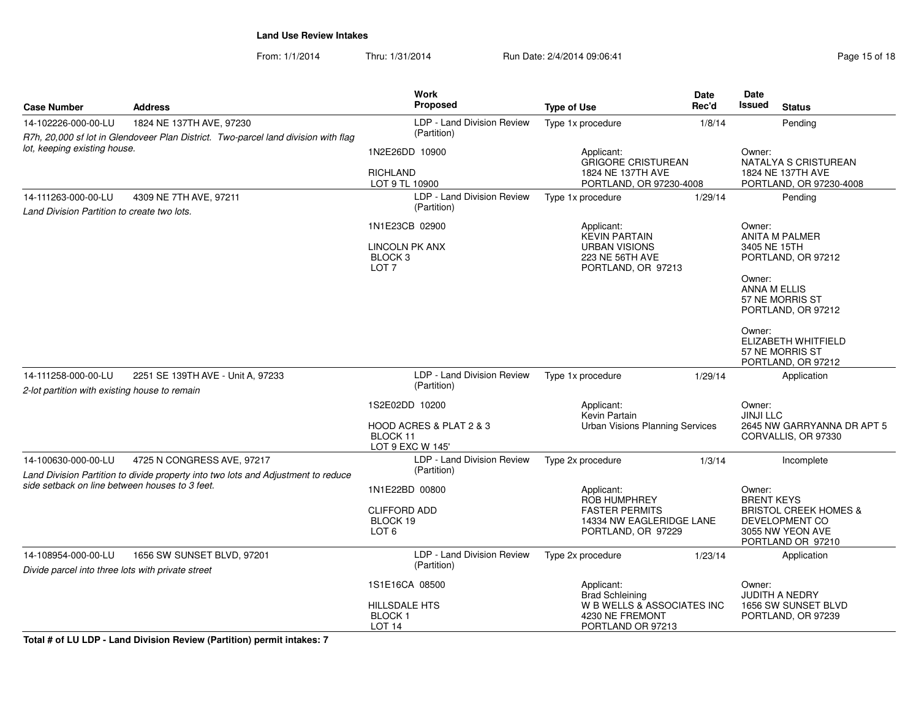From: 1/1/2014Thru: 1/31/2014 Run Date: 2/4/2014 09:06:41 Page 15 of 18

| <b>Case Number</b>                                                                           | <b>Address</b>                                                                     | Work<br>Proposed                                                      | <b>Type of Use</b>                                                                                    | <b>Date</b><br>Rec'd                      | Date<br><b>Issued</b><br><b>Status</b>                                                                                     |  |
|----------------------------------------------------------------------------------------------|------------------------------------------------------------------------------------|-----------------------------------------------------------------------|-------------------------------------------------------------------------------------------------------|-------------------------------------------|----------------------------------------------------------------------------------------------------------------------------|--|
| 14-102226-000-00-LU                                                                          | 1824 NE 137TH AVE, 97230                                                           | LDP - Land Division Review                                            | Type 1x procedure                                                                                     | 1/8/14                                    | Pending                                                                                                                    |  |
|                                                                                              | R7h, 20,000 sf lot in Glendoveer Plan District. Two-parcel land division with flag | (Partition)                                                           |                                                                                                       |                                           |                                                                                                                            |  |
| lot, keeping existing house.                                                                 |                                                                                    | 1N2E26DD 10900                                                        | Applicant:<br><b>GRIGORE CRISTUREAN</b>                                                               |                                           | Owner:<br>NATALYA S CRISTUREAN                                                                                             |  |
|                                                                                              |                                                                                    | <b>RICHLAND</b><br>LOT 9 TL 10900                                     | 1824 NE 137TH AVE                                                                                     | PORTLAND, OR 97230-4008                   |                                                                                                                            |  |
| 14-111263-000-00-LU<br>4309 NE 7TH AVE, 97211<br>Land Division Partition to create two lots. |                                                                                    | LDP - Land Division Review<br>(Partition)                             | Type 1x procedure                                                                                     | PORTLAND, OR 97230-4008<br>1/29/14        |                                                                                                                            |  |
|                                                                                              |                                                                                    | 1N1E23CB 02900<br><b>LINCOLN PK ANX</b>                               | Applicant:<br><b>KEVIN PARTAIN</b><br><b>URBAN VISIONS</b>                                            |                                           | Owner:<br><b>ANITA M PALMER</b><br>3405 NE 15TH                                                                            |  |
|                                                                                              |                                                                                    | BLOCK <sub>3</sub><br>LOT <sub>7</sub>                                | 223 NE 56TH AVE<br>PORTLAND, OR 97213                                                                 |                                           | PORTLAND, OR 97212<br>Owner:<br><b>ANNA M ELLIS</b><br>57 NE MORRIS ST<br>PORTLAND, OR 97212                               |  |
|                                                                                              |                                                                                    |                                                                       |                                                                                                       |                                           | Owner:<br>ELIZABETH WHITFIELD<br>57 NE MORRIS ST<br>PORTLAND, OR 97212                                                     |  |
| 14-111258-000-00-LU<br>2-lot partition with existing house to remain                         | 2251 SE 139TH AVE - Unit A, 97233                                                  | LDP - Land Division Review<br>(Partition)                             | Type 1x procedure                                                                                     | 1/29/14                                   | Application                                                                                                                |  |
|                                                                                              |                                                                                    | 1S2E02DD 10200                                                        | Applicant:<br>Kevin Partain                                                                           |                                           | Owner:<br><b>JINJI LLC</b>                                                                                                 |  |
|                                                                                              |                                                                                    | HOOD ACRES & PLAT 2 & 3<br>BLOCK 11<br>LOT 9 EXC W 145'               | <b>Urban Visions Planning Services</b>                                                                |                                           | 2645 NW GARRYANNA DR APT 5<br>CORVALLIS, OR 97330                                                                          |  |
| 14-100630-000-00-LU                                                                          | 4725 N CONGRESS AVE, 97217                                                         | LDP - Land Division Review                                            | Type 2x procedure                                                                                     | 1/3/14                                    | Incomplete                                                                                                                 |  |
|                                                                                              | Land Division Partition to divide property into two lots and Adjustment to reduce  | (Partition)                                                           |                                                                                                       |                                           |                                                                                                                            |  |
| side setback on line between houses to 3 feet.                                               |                                                                                    | 1N1E22BD 00800<br><b>CLIFFORD ADD</b><br>BLOCK 19<br>LOT <sub>6</sub> | Applicant:<br>ROB HUMPHREY<br><b>FASTER PERMITS</b><br>14334 NW EAGLERIDGE LANE<br>PORTLAND, OR 97229 |                                           | Owner:<br><b>BRENT KEYS</b><br><b>BRISTOL CREEK HOMES &amp;</b><br>DEVELOPMENT CO<br>3055 NW YEON AVE<br>PORTLAND OR 97210 |  |
| 14-108954-000-00-LU                                                                          | 1656 SW SUNSET BLVD, 97201                                                         | LDP - Land Division Review                                            | Type 2x procedure                                                                                     | 1/23/14                                   | Application                                                                                                                |  |
| Divide parcel into three lots with private street                                            |                                                                                    | (Partition)                                                           |                                                                                                       |                                           |                                                                                                                            |  |
|                                                                                              |                                                                                    | 1S1E16CA 08500                                                        | Applicant:<br>Owner:<br><b>Brad Schleining</b>                                                        |                                           | <b>JUDITH A NEDRY</b>                                                                                                      |  |
|                                                                                              |                                                                                    | <b>HILLSDALE HTS</b><br><b>BLOCK1</b><br>LOT <sub>14</sub>            | W B WELLS & ASSOCIATES INC<br>4230 NE FREMONT<br>PORTLAND OR 97213                                    | 1656 SW SUNSET BLVD<br>PORTLAND, OR 97239 |                                                                                                                            |  |

**Total # of LU LDP - Land Division Review (Partition) permit intakes: 7**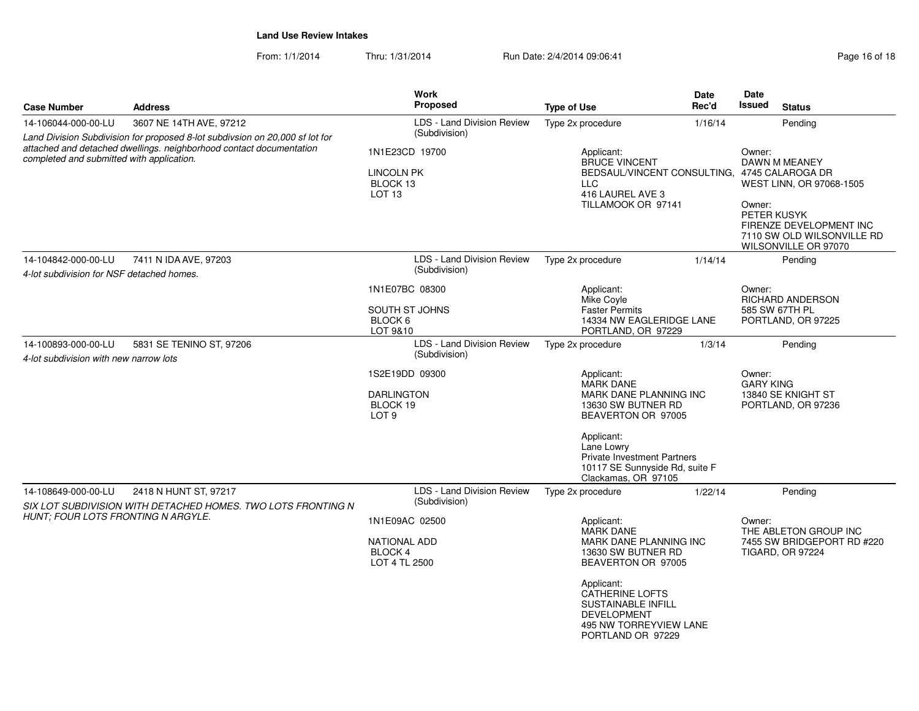From: 1/1/2014Thru: 1/31/2014 Run Date: 2/4/2014 09:06:41 Page 16 of 18

| <b>Case Number</b>                                                                                                                                                                                                                                 | <b>Address</b>                                                                        | <b>Work</b><br><b>Proposed</b>                                          | <b>Type of Use</b>                                                                                                                                                                                                                             | Date<br>Rec'd                                                                                                                                | <b>Date</b><br><b>Issued</b><br><b>Status</b>                                                                                                                 |  |
|----------------------------------------------------------------------------------------------------------------------------------------------------------------------------------------------------------------------------------------------------|---------------------------------------------------------------------------------------|-------------------------------------------------------------------------|------------------------------------------------------------------------------------------------------------------------------------------------------------------------------------------------------------------------------------------------|----------------------------------------------------------------------------------------------------------------------------------------------|---------------------------------------------------------------------------------------------------------------------------------------------------------------|--|
| 3607 NE 14TH AVE, 97212<br>14-106044-000-00-LU<br>Land Division Subdivision for proposed 8-lot subdivsion on 20,000 sf lot for<br>attached and detached dwellings. neighborhood contact documentation<br>completed and submitted with application. |                                                                                       | LDS - Land Division Review<br>(Subdivision)                             | Type 2x procedure                                                                                                                                                                                                                              | 1/16/14                                                                                                                                      | Pending                                                                                                                                                       |  |
|                                                                                                                                                                                                                                                    |                                                                                       | 1N1E23CD 19700<br><b>LINCOLN PK</b><br>BLOCK 13<br>LOT <sub>13</sub>    | Applicant:<br><b>BRUCE VINCENT</b><br>BEDSAUL/VINCENT CONSULTING, 4745 CALAROGA DR<br><b>LLC</b><br>416 LAUREL AVE 3<br>TILLAMOOK OR 97141                                                                                                     |                                                                                                                                              | Owner:<br>DAWN M MEANEY<br>WEST LINN, OR 97068-1505<br>Owner:<br>PETER KUSYK<br>FIRENZE DEVELOPMENT INC<br>7110 SW OLD WILSONVILLE RD<br>WILSONVILLE OR 97070 |  |
| 14-104842-000-00-LU<br>4-lot subdivision for NSF detached homes.                                                                                                                                                                                   | 7411 N IDA AVE, 97203                                                                 | <b>LDS - Land Division Review</b><br>(Subdivision)                      | Type 2x procedure                                                                                                                                                                                                                              | 1/14/14                                                                                                                                      | Pending                                                                                                                                                       |  |
|                                                                                                                                                                                                                                                    |                                                                                       | 1N1E07BC 08300<br>SOUTH ST JOHNS<br>BLOCK 6<br>LOT 9&10                 | Applicant:<br>Mike Coyle<br><b>Faster Permits</b><br>14334 NW EAGLERIDGE LANE<br>PORTLAND, OR 97229                                                                                                                                            | Owner:<br><b>RICHARD ANDERSON</b><br>585 SW 67TH PL<br>PORTLAND, OR 97225                                                                    |                                                                                                                                                               |  |
| 14-100893-000-00-LU<br>4-lot subdivision with new narrow lots                                                                                                                                                                                      | 5831 SE TENINO ST. 97206                                                              | <b>LDS - Land Division Review</b><br>(Subdivision)                      | Type 2x procedure                                                                                                                                                                                                                              | 1/3/14                                                                                                                                       |                                                                                                                                                               |  |
|                                                                                                                                                                                                                                                    |                                                                                       | 1S2E19DD 09300<br><b>DARLINGTON</b><br>BLOCK 19<br>LOT <sub>9</sub>     | Applicant:<br><b>MARK DANE</b><br>Applicant:<br>Lane Lowry                                                                                                                                                                                     | Owner:<br><b>GARY KING</b><br>13840 SE KNIGHT ST<br>MARK DANE PLANNING INC<br>13630 SW BUTNER RD<br>PORTLAND, OR 97236<br>BEAVERTON OR 97005 |                                                                                                                                                               |  |
|                                                                                                                                                                                                                                                    |                                                                                       |                                                                         | Private Investment Partners<br>10117 SE Sunnyside Rd, suite F<br>Clackamas, OR 97105                                                                                                                                                           |                                                                                                                                              |                                                                                                                                                               |  |
| 14-108649-000-00-LU                                                                                                                                                                                                                                | 2418 N HUNT ST, 97217<br>SIX LOT SUBDIVISION WITH DETACHED HOMES. TWO LOTS FRONTING N | LDS - Land Division Review<br>(Subdivision)                             | Type 2x procedure                                                                                                                                                                                                                              | 1/22/14                                                                                                                                      | Pending                                                                                                                                                       |  |
| HUNT; FOUR LOTS FRONTING N ARGYLE.                                                                                                                                                                                                                 |                                                                                       | 1N1E09AC 02500<br><b>NATIONAL ADD</b><br><b>BLOCK4</b><br>LOT 4 TL 2500 | Applicant:<br><b>MARK DANE</b><br>MARK DANE PLANNING INC<br>13630 SW BUTNER RD<br>BEAVERTON OR 97005<br>Applicant:<br><b>CATHERINE LOFTS</b><br><b>SUSTAINABLE INFILL</b><br><b>DEVELOPMENT</b><br>495 NW TORREYVIEW LANE<br>PORTLAND OR 97229 |                                                                                                                                              | Owner:<br>THE ABLETON GROUP INC<br>7455 SW BRIDGEPORT RD #220<br>TIGARD, OR 97224                                                                             |  |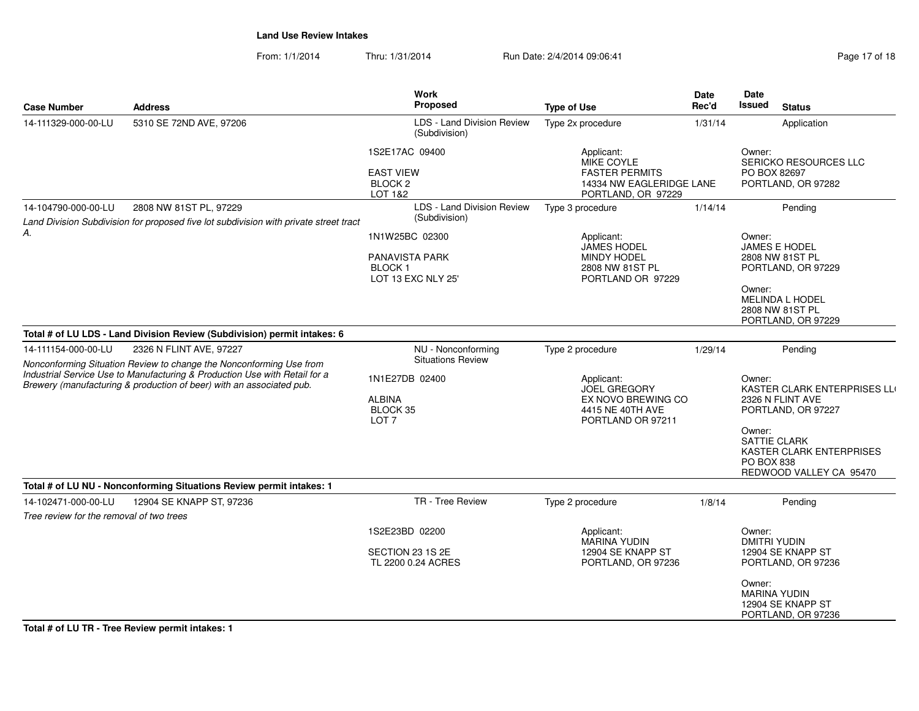From: 1/1/2014Thru: 1/31/2014 Run Date: 2/4/2014 09:06:41 Page 17 of 18

| Page 17 of 18 |  |  |
|---------------|--|--|
|               |  |  |

| <b>Case Number</b>                               | <b>Address</b>                                                                                                                                    | <b>Work</b><br>Proposed                                           | <b>Type of Use</b>                                                      | Date<br>Rec'd | Date<br><b>Issued</b>                                                        | <b>Status</b>                                                  |
|--------------------------------------------------|---------------------------------------------------------------------------------------------------------------------------------------------------|-------------------------------------------------------------------|-------------------------------------------------------------------------|---------------|------------------------------------------------------------------------------|----------------------------------------------------------------|
| 14-111329-000-00-LU                              | 5310 SE 72ND AVE, 97206                                                                                                                           | LDS - Land Division Review<br>(Subdivision)                       | Type 2x procedure                                                       | 1/31/14       |                                                                              | Application                                                    |
|                                                  |                                                                                                                                                   | 1S2E17AC 09400                                                    | Applicant:<br>MIKE COYLE                                                |               | Owner:<br><b>SERICKO RESOURCES LLC</b><br>PO BOX 82697<br>PORTLAND, OR 97282 |                                                                |
|                                                  |                                                                                                                                                   | <b>EAST VIEW</b><br>BLOCK <sub>2</sub><br>LOT 1&2                 | <b>FASTER PERMITS</b><br>14334 NW EAGLERIDGE LANE<br>PORTLAND, OR 97229 |               |                                                                              |                                                                |
| 14-104790-000-00-LU                              | 2808 NW 81ST PL, 97229                                                                                                                            | LDS - Land Division Review                                        | Type 3 procedure                                                        | 1/14/14       |                                                                              | Pending                                                        |
| А.                                               | Land Division Subdivision for proposed five lot subdivision with private street tract                                                             | (Subdivision)                                                     |                                                                         |               |                                                                              |                                                                |
|                                                  |                                                                                                                                                   | 1N1W25BC 02300                                                    | Applicant:<br><b>JAMES HODEL</b>                                        |               | Owner:                                                                       | <b>JAMES E HODEL</b>                                           |
|                                                  |                                                                                                                                                   | <b>PANAVISTA PARK</b><br>BLOCK <sub>1</sub><br>LOT 13 EXC NLY 25' | <b>MINDY HODEL</b><br>2808 NW 81ST PL<br>PORTLAND OR 97229              |               |                                                                              | 2808 NW 81ST PL<br>PORTLAND, OR 97229                          |
|                                                  |                                                                                                                                                   |                                                                   |                                                                         |               | Owner:                                                                       | MELINDA L HODEL<br>2808 NW 81ST PL<br>PORTLAND, OR 97229       |
|                                                  | Total # of LU LDS - Land Division Review (Subdivision) permit intakes: 6                                                                          |                                                                   |                                                                         |               |                                                                              |                                                                |
| 14-111154-000-00-LU                              | 2326 N FLINT AVE, 97227                                                                                                                           | NU - Nonconforming                                                | Type 2 procedure                                                        | 1/29/14       |                                                                              | Pending                                                        |
|                                                  | Nonconforming Situation Review to change the Nonconforming Use from<br>Industrial Service Use to Manufacturing & Production Use with Retail for a | <b>Situations Review</b>                                          |                                                                         |               |                                                                              |                                                                |
|                                                  | Brewery (manufacturing & production of beer) with an associated pub.                                                                              | 1N1E27DB 02400                                                    | Applicant:<br><b>JOEL GREGORY</b>                                       |               | Owner:<br>KASTER CLARK ENTERPRISES LLI                                       |                                                                |
|                                                  |                                                                                                                                                   | <b>ALBINA</b><br>BLOCK 35<br>LOT <sub>7</sub>                     | EX NOVO BREWING CO<br>4415 NE 40TH AVE<br>PORTLAND OR 97211             |               |                                                                              | 2326 N FLINT AVE<br>PORTLAND, OR 97227                         |
|                                                  |                                                                                                                                                   |                                                                   |                                                                         |               | Owner:<br><b>SATTIE CLARK</b><br>PO BOX 838                                  | KASTER CLARK ENTERPRISES<br>REDWOOD VALLEY CA 95470            |
|                                                  | Total # of LU NU - Nonconforming Situations Review permit intakes: 1                                                                              |                                                                   |                                                                         |               |                                                                              |                                                                |
| 14-102471-000-00-LU                              | 12904 SE KNAPP ST, 97236                                                                                                                          | TR - Tree Review                                                  | Type 2 procedure                                                        | 1/8/14        |                                                                              | Pending                                                        |
| Tree review for the removal of two trees         |                                                                                                                                                   |                                                                   |                                                                         |               |                                                                              |                                                                |
|                                                  |                                                                                                                                                   | 1S2E23BD 02200                                                    | Applicant:<br><b>MARINA YUDIN</b>                                       |               | Owner:<br>DMITRI YUDIN                                                       |                                                                |
|                                                  |                                                                                                                                                   | SECTION 23 1S 2E<br>TL 2200 0.24 ACRES                            | 12904 SE KNAPP ST<br>PORTLAND, OR 97236                                 |               |                                                                              | 12904 SE KNAPP ST<br>PORTLAND, OR 97236                        |
|                                                  |                                                                                                                                                   |                                                                   |                                                                         |               | Owner:                                                                       | <b>MARINA YUDIN</b><br>12904 SE KNAPP ST<br>PORTLAND, OR 97236 |
| Total # of LU TR - Tree Review permit intakes: 1 |                                                                                                                                                   |                                                                   |                                                                         |               |                                                                              |                                                                |